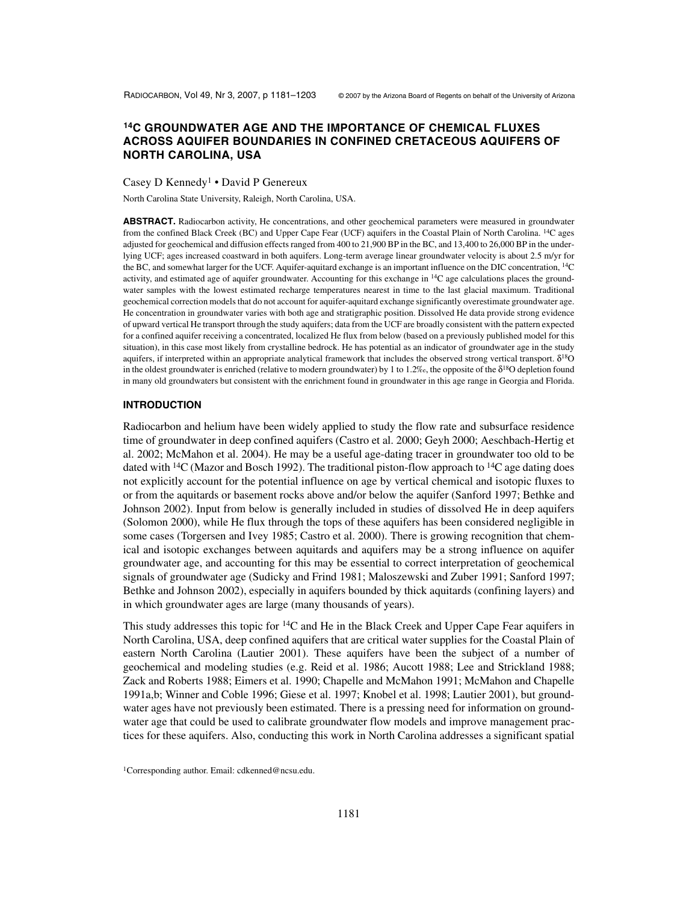# **14C GROUNDWATER AGE AND THE IMPORTANCE OF CHEMICAL FLUXES ACROSS AQUIFER BOUNDARIES IN CONFINED CRETACEOUS AQUIFERS OF NORTH CAROLINA, USA**

Casey D Kennedy<sup>1</sup> • David P Genereux

North Carolina State University, Raleigh, North Carolina, USA.

**ABSTRACT.** Radiocarbon activity, He concentrations, and other geochemical parameters were measured in groundwater from the confined Black Creek (BC) and Upper Cape Fear (UCF) aquifers in the Coastal Plain of North Carolina. 14C ages adjusted for geochemical and diffusion effects ranged from 400 to 21,900 BP in the BC, and 13,400 to 26,000 BP in the underlying UCF; ages increased coastward in both aquifers. Long-term average linear groundwater velocity is about 2.5 m/yr for the BC, and somewhat larger for the UCF. Aquifer-aquitard exchange is an important influence on the DIC concentration, 14C activity, and estimated age of aquifer groundwater. Accounting for this exchange in <sup>14</sup>C age calculations places the groundwater samples with the lowest estimated recharge temperatures nearest in time to the last glacial maximum. Traditional geochemical correction models that do not account for aquifer-aquitard exchange significantly overestimate groundwater age. He concentration in groundwater varies with both age and stratigraphic position. Dissolved He data provide strong evidence of upward vertical He transport through the study aquifers; data from the UCF are broadly consistent with the pattern expected for a confined aquifer receiving a concentrated, localized He flux from below (based on a previously published model for this situation), in this case most likely from crystalline bedrock. He has potential as an indicator of groundwater age in the study aquifers, if interpreted within an appropriate analytical framework that includes the observed strong vertical transport. δ18O in the oldest groundwater is enriched (relative to modern groundwater) by 1 to 1.2‰, the opposite of the  $\delta^{18}O$  depletion found in many old groundwaters but consistent with the enrichment found in groundwater in this age range in Georgia and Florida.

#### **INTRODUCTION**

Radiocarbon and helium have been widely applied to study the flow rate and subsurface residence time of groundwater in deep confined aquifers (Castro et al. 2000; Geyh 2000; Aeschbach-Hertig et al. 2002; McMahon et al. 2004). He may be a useful age-dating tracer in groundwater too old to be dated with <sup>14</sup>C (Mazor and Bosch 1992). The traditional piston-flow approach to <sup>14</sup>C age dating does not explicitly account for the potential influence on age by vertical chemical and isotopic fluxes to or from the aquitards or basement rocks above and/or below the aquifer (Sanford 1997; Bethke and Johnson 2002). Input from below is generally included in studies of dissolved He in deep aquifers (Solomon 2000), while He flux through the tops of these aquifers has been considered negligible in some cases (Torgersen and Ivey 1985; Castro et al. 2000). There is growing recognition that chemical and isotopic exchanges between aquitards and aquifers may be a strong influence on aquifer groundwater age, and accounting for this may be essential to correct interpretation of geochemical signals of groundwater age (Sudicky and Frind 1981; Maloszewski and Zuber 1991; Sanford 1997; Bethke and Johnson 2002), especially in aquifers bounded by thick aquitards (confining layers) and in which groundwater ages are large (many thousands of years).

This study addresses this topic for  ${}^{14}C$  and He in the Black Creek and Upper Cape Fear aquifers in North Carolina, USA, deep confined aquifers that are critical water supplies for the Coastal Plain of eastern North Carolina (Lautier 2001). These aquifers have been the subject of a number of geochemical and modeling studies (e.g. Reid et al. 1986; Aucott 1988; Lee and Strickland 1988; Zack and Roberts 1988; Eimers et al. 1990; Chapelle and McMahon 1991; McMahon and Chapelle 1991a,b; Winner and Coble 1996; Giese et al. 1997; Knobel et al. 1998; Lautier 2001), but groundwater ages have not previously been estimated. There is a pressing need for information on groundwater age that could be used to calibrate groundwater flow models and improve management practices for these aquifers. Also, conducting this work in North Carolina addresses a significant spatial

<sup>1</sup>Corresponding author. Email: cdkenned@ncsu.edu.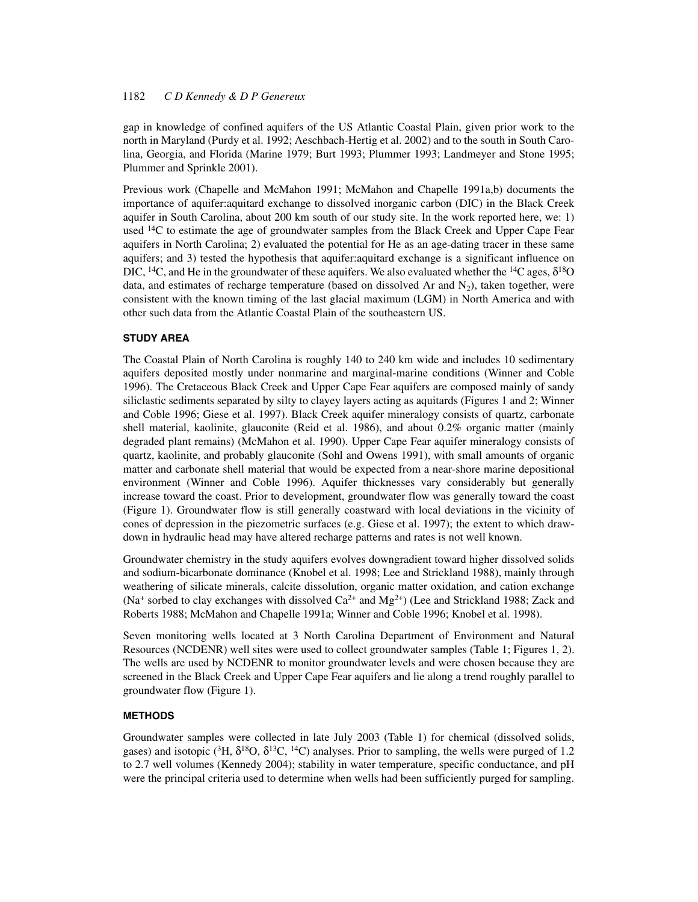gap in knowledge of confined aquifers of the US Atlantic Coastal Plain, given prior work to the north in Maryland (Purdy et al. 1992; Aeschbach-Hertig et al. 2002) and to the south in South Carolina, Georgia, and Florida (Marine 1979; Burt 1993; Plummer 1993; Landmeyer and Stone 1995; Plummer and Sprinkle 2001).

Previous work (Chapelle and McMahon 1991; McMahon and Chapelle 1991a,b) documents the importance of aquifer:aquitard exchange to dissolved inorganic carbon (DIC) in the Black Creek aquifer in South Carolina, about 200 km south of our study site. In the work reported here, we: 1) used <sup>14</sup>C to estimate the age of groundwater samples from the Black Creek and Upper Cape Fear aquifers in North Carolina; 2) evaluated the potential for He as an age-dating tracer in these same aquifers; and 3) tested the hypothesis that aquifer:aquitard exchange is a significant influence on DIC, <sup>14</sup>C, and He in the groundwater of these aquifers. We also evaluated whether the <sup>14</sup>C ages,  $\delta^{18}O$ data, and estimates of recharge temperature (based on dissolved Ar and  $N_2$ ), taken together, were consistent with the known timing of the last glacial maximum (LGM) in North America and with other such data from the Atlantic Coastal Plain of the southeastern US.

### **STUDY AREA**

The Coastal Plain of North Carolina is roughly 140 to 240 km wide and includes 10 sedimentary aquifers deposited mostly under nonmarine and marginal-marine conditions (Winner and Coble 1996). The Cretaceous Black Creek and Upper Cape Fear aquifers are composed mainly of sandy siliclastic sediments separated by silty to clayey layers acting as aquitards (Figures 1 and 2; Winner and Coble 1996; Giese et al. 1997). Black Creek aquifer mineralogy consists of quartz, carbonate shell material, kaolinite, glauconite (Reid et al. 1986), and about 0.2% organic matter (mainly degraded plant remains) (McMahon et al. 1990). Upper Cape Fear aquifer mineralogy consists of quartz, kaolinite, and probably glauconite (Sohl and Owens 1991), with small amounts of organic matter and carbonate shell material that would be expected from a near-shore marine depositional environment (Winner and Coble 1996). Aquifer thicknesses vary considerably but generally increase toward the coast. Prior to development, groundwater flow was generally toward the coast (Figure 1). Groundwater flow is still generally coastward with local deviations in the vicinity of cones of depression in the piezometric surfaces (e.g. Giese et al. 1997); the extent to which drawdown in hydraulic head may have altered recharge patterns and rates is not well known.

Groundwater chemistry in the study aquifers evolves downgradient toward higher dissolved solids and sodium-bicarbonate dominance (Knobel et al. 1998; Lee and Strickland 1988), mainly through weathering of silicate minerals, calcite dissolution, organic matter oxidation, and cation exchange (Na<sup>+</sup> sorbed to clay exchanges with dissolved  $Ca^{2+}$  and  $Mg^{2+}$ ) (Lee and Strickland 1988; Zack and Roberts 1988; McMahon and Chapelle 1991a; Winner and Coble 1996; Knobel et al. 1998).

Seven monitoring wells located at 3 North Carolina Department of Environment and Natural Resources (NCDENR) well sites were used to collect groundwater samples (Table 1; Figures 1, 2). The wells are used by NCDENR to monitor groundwater levels and were chosen because they are screened in the Black Creek and Upper Cape Fear aquifers and lie along a trend roughly parallel to groundwater flow (Figure 1).

### **METHODS**

Groundwater samples were collected in late July 2003 (Table 1) for chemical (dissolved solids, gases) and isotopic ( ${}^{3}H$ ,  $\delta {}^{18}O$ ,  $\delta {}^{13}C$ ,  ${}^{14}C$ ) analyses. Prior to sampling, the wells were purged of 1.2 to 2.7 well volumes (Kennedy 2004); stability in water temperature, specific conductance, and pH were the principal criteria used to determine when wells had been sufficiently purged for sampling.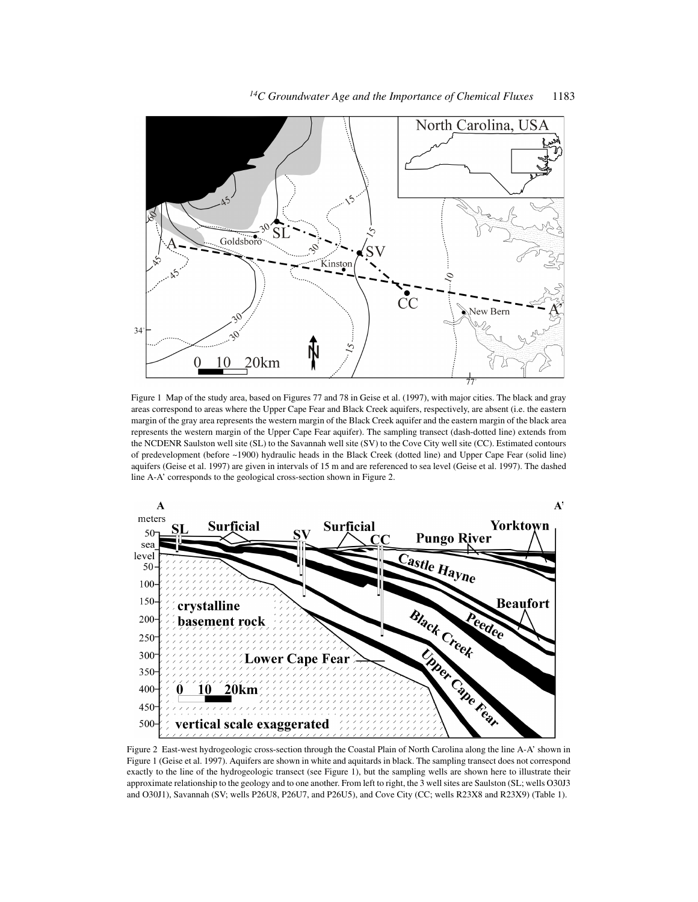

Figure 1 Map of the study area, based on Figures 77 and 78 in Geise et al. (1997), with major cities. The black and gray areas correspond to areas where the Upper Cape Fear and Black Creek aquifers, respectively, are absent (i.e. the eastern margin of the gray area represents the western margin of the Black Creek aquifer and the eastern margin of the black area represents the western margin of the Upper Cape Fear aquifer). The sampling transect (dash-dotted line) extends from the NCDENR Saulston well site (SL) to the Savannah well site (SV) to the Cove City well site (CC). Estimated contours of predevelopment (before ~1900) hydraulic heads in the Black Creek (dotted line) and Upper Cape Fear (solid line) aquifers (Geise et al. 1997) are given in intervals of 15 m and are referenced to sea level (Geise et al. 1997). The dashed line A-A' corresponds to the geological cross-section shown in Figure 2.

0

10

20km



Figure 2 East-west hydrogeologic cross-section through the Coastal Plain of North Carolina along the line A-A' shown in Figure 1 (Geise et al. 1997). Aquifers are shown in white and aquitards in black. The sampling transect does not correspond exactly to the line of the hydrogeologic transect (see Figure 1), but the sampling wells are shown here to illustrate their approximate relationship to the geology and to one another. From left to right, the 3 well sites are Saulston (SL; wells O30J3 and O30J1), Savannah (SV; wells P26U8, P26U7, and P26U5), and Cove City (CC; wells R23X8 and R23X9) (Table 1).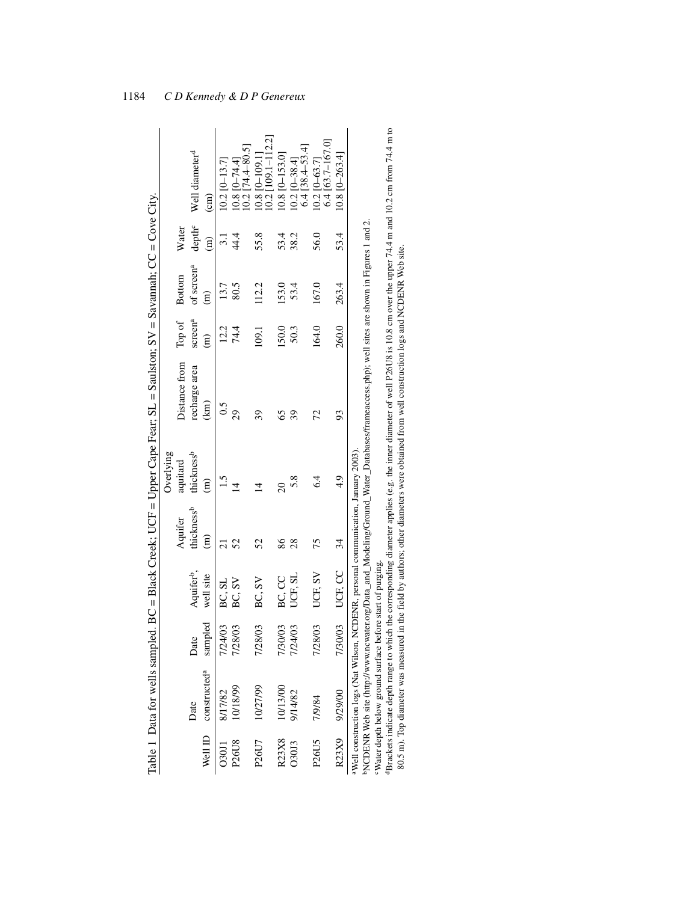|                   |                                                                                                |         |                        |                        |                        | Table 1 Data for wells sampled. BC = Black Creek; UCF = Upper Cape Fear; SL = Saulston; SV = Savannah; CC = Cove City.                      |                     |                        |                    |                            |
|-------------------|------------------------------------------------------------------------------------------------|---------|------------------------|------------------------|------------------------|---------------------------------------------------------------------------------------------------------------------------------------------|---------------------|------------------------|--------------------|----------------------------|
|                   |                                                                                                |         |                        |                        | Overlying              |                                                                                                                                             |                     |                        |                    |                            |
|                   |                                                                                                |         |                        | Aquifer                | aquitard               | Distance from                                                                                                                               | Top of              | Bottom                 | Water              |                            |
|                   | Date                                                                                           | Date    | Aquifer <sup>b</sup> , | thickness <sup>b</sup> | thickness <sup>b</sup> | recharge area                                                                                                                               | screen <sup>a</sup> | of screen <sup>a</sup> | depth <sup>c</sup> | Well diameter <sup>d</sup> |
| Well ID           | constructed <sup>a</sup>                                                                       | sampled | well site              | $\widehat{E}$          | $\widehat{E}$          | $\binom{km}{k}$                                                                                                                             | $\widehat{E}$       | $\widehat{\Xi}$        | $\binom{m}{n}$     | $\binom{cm}{}$             |
| <b>C30J1</b>      | 8/17/82                                                                                        | 7/24/03 | BC, SL                 |                        |                        | 0.5                                                                                                                                         | 12.2                | 13.7                   | $\ddot{3}$ .       | $10.2$ [0-13.7]            |
| P26U8             | 10/18/99                                                                                       | 7/28/03 | BC, SV                 | 52                     | $\vec{v}$              | 29                                                                                                                                          | 74.4                | 80.5                   | 44.4               | $10.8$ [0-74.4]            |
|                   |                                                                                                |         |                        |                        |                        |                                                                                                                                             |                     |                        |                    | $[0.2 [74.4 - 80.5]$       |
| P26U7             | 10/27/99                                                                                       | 7/28/03 | BC, SV                 | 52                     | $\overline{4}$         | 39                                                                                                                                          | 109.1               | 112.2                  | 55.8               | $0.8$ [0-109.1]            |
|                   |                                                                                                |         |                        |                        |                        |                                                                                                                                             |                     |                        |                    | $[0.2$ [109.1-112.2]       |
| R23X8             | 10/13/00                                                                                       | 7/30/03 | BC, CC                 | 86                     | $\overline{20}$        | S                                                                                                                                           | 150.0               | 153.0                  | 53.4               | $10.8$ [O-153.0]           |
| 030J3             | 9/14/82                                                                                        | 7/24/03 | JCF, SL                | 28                     | 5.8                    | 39                                                                                                                                          | 50.3                | 53.4                   | 38.2               | $[0.2]$ $[0-38.4]$         |
|                   |                                                                                                |         |                        |                        |                        |                                                                                                                                             |                     |                        |                    | $6.4$ [38.4–53.4]          |
| P <sub>26U5</sub> | 7/9/84                                                                                         | 7/28/03 | UCF, SV                | 75                     | 6.4                    | 72                                                                                                                                          | 164.0               | 167.0                  | 56.0               | $[0.2]$ $[0 - 63.7]$       |
|                   |                                                                                                |         |                        |                        |                        |                                                                                                                                             |                     |                        |                    | $6.4$ [63.7-167.0]         |
| R23X9             | 9/29/00                                                                                        | 7/30/03 | UCF, CC                | 34                     | $\ddot{4}$             | 93                                                                                                                                          | 260.0               | 263.4                  | 53.4               | $10.8$ [0-263.4]           |
|                   | <sup>a</sup> Well construction logs (Nat Wilson, NCDENR, personal communication, January 2003) |         |                        |                        |                        | NCDENR Web site (http://www.ncwater.org/Data_and_Modeling/Ground_Water_Databases/frameaccess.php); well sites are shown in Figures 1 and 2. |                     |                        |                    |                            |
|                   | Water depth below ground surface before start of purging.                                      |         |                        |                        |                        |                                                                                                                                             |                     |                        |                    |                            |

mach surplum occurs ground surface corresponding diameter applies (e.g. the inner diameter of well P26U8 is 10.8 cm over the upper 74.4 m and 10.2 cm from 74.4 m to 80.5 m). Top diameter was measured in the field by author Brackets indicate depth range to which the corresponding diameter applies (e.g. the inner diameter of well P26U8 is 10.8 cm over the upper 74.4 m and 10.2 cm from 74.4 m to 80.5 m). Top diameter was measured in the field by authors; other diameters were obtained from well construction logs and NCDENR Web site. cWater depth below ground surface before start of purging.

1184 *C D Kennedy & D P Genereux*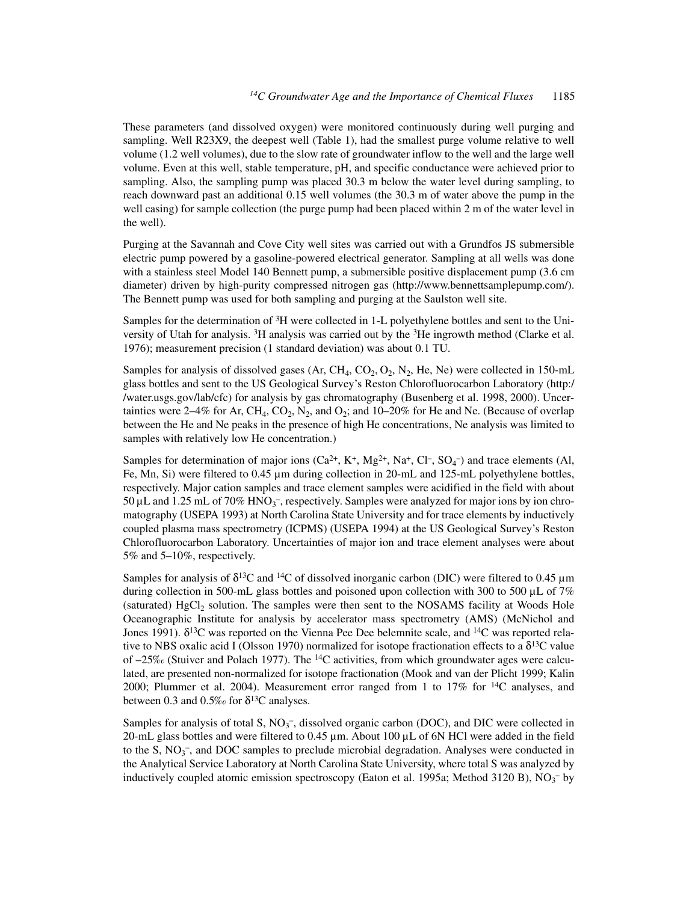These parameters (and dissolved oxygen) were monitored continuously during well purging and sampling. Well R23X9, the deepest well (Table 1), had the smallest purge volume relative to well volume (1.2 well volumes), due to the slow rate of groundwater inflow to the well and the large well volume. Even at this well, stable temperature, pH, and specific conductance were achieved prior to sampling. Also, the sampling pump was placed 30.3 m below the water level during sampling, to reach downward past an additional 0.15 well volumes (the 30.3 m of water above the pump in the well casing) for sample collection (the purge pump had been placed within 2 m of the water level in the well).

Purging at the Savannah and Cove City well sites was carried out with a Grundfos JS submersible electric pump powered by a gasoline-powered electrical generator. Sampling at all wells was done with a stainless steel Model 140 Bennett pump, a submersible positive displacement pump (3.6 cm diameter) driven by high-purity compressed nitrogen gas (http://www.bennettsamplepump.com/). The Bennett pump was used for both sampling and purging at the Saulston well site.

Samples for the determination of 3H were collected in 1-L polyethylene bottles and sent to the University of Utah for analysis. 3H analysis was carried out by the 3He ingrowth method (Clarke et al. 1976); measurement precision (1 standard deviation) was about 0.1 TU.

Samples for analysis of dissolved gases (Ar, CH<sub>4</sub>, CO<sub>2</sub>, O<sub>2</sub>, N<sub>2</sub>, He, Ne) were collected in 150-mL glass bottles and sent to the US Geological Survey's Reston Chlorofluorocarbon Laboratory (http:/ /water.usgs.gov/lab/cfc) for analysis by gas chromatography (Busenberg et al. 1998, 2000). Uncertainties were 2–4% for Ar, CH<sub>4</sub>, CO<sub>2</sub>, N<sub>2</sub>, and O<sub>2</sub>; and 10–20% for He and Ne. (Because of overlap between the He and Ne peaks in the presence of high He concentrations, Ne analysis was limited to samples with relatively low He concentration.)

Samples for determination of major ions  $(Ca^{2+}, K^+, Mg^{2+}, Na^+, Cl^-, SO_4^-)$  and trace elements (Al, Fe, Mn, Si) were filtered to 0.45 µm during collection in 20-mL and 125-mL polyethylene bottles, respectively. Major cation samples and trace element samples were acidified in the field with about 50  $\mu$ L and 1.25 mL of 70% HNO<sub>3</sub><sup>-</sup>, respectively. Samples were analyzed for major ions by ion chromatography (USEPA 1993) at North Carolina State University and for trace elements by inductively coupled plasma mass spectrometry (ICPMS) (USEPA 1994) at the US Geological Survey's Reston Chlorofluorocarbon Laboratory. Uncertainties of major ion and trace element analyses were about 5% and 5–10%, respectively.

Samples for analysis of  $\delta^{13}C$  and  $^{14}C$  of dissolved inorganic carbon (DIC) were filtered to 0.45  $\mu$ m during collection in 500-mL glass bottles and poisoned upon collection with 300 to 500  $\mu$ L of 7% (saturated) HgCl<sub>2</sub> solution. The samples were then sent to the NOSAMS facility at Woods Hole Oceanographic Institute for analysis by accelerator mass spectrometry (AMS) (McNichol and Jones 1991).  $\delta^{13}$ C was reported on the Vienna Pee Dee belemnite scale, and  $^{14}$ C was reported relative to NBS oxalic acid I (Olsson 1970) normalized for isotope fractionation effects to a  $\delta^{13}C$  value of  $-25\%$  (Stuiver and Polach 1977). The <sup>14</sup>C activities, from which groundwater ages were calculated, are presented non-normalized for isotope fractionation (Mook and van der Plicht 1999; Kalin 2000; Plummer et al. 2004). Measurement error ranged from 1 to  $17\%$  for  $14C$  analyses, and between 0.3 and 0.5‰ for  $\delta^{13}$ C analyses.

Samples for analysis of total S,  $NO<sub>3</sub><sup>-</sup>$ , dissolved organic carbon (DOC), and DIC were collected in 20-mL glass bottles and were filtered to 0.45 µm. About 100 µL of 6N HCl were added in the field to the S,  $NO<sub>3</sub>$ , and DOC samples to preclude microbial degradation. Analyses were conducted in the Analytical Service Laboratory at North Carolina State University, where total S was analyzed by inductively coupled atomic emission spectroscopy (Eaton et al. 1995a; Method 3120 B),  $NO<sub>3</sub><sup>-</sup>$  by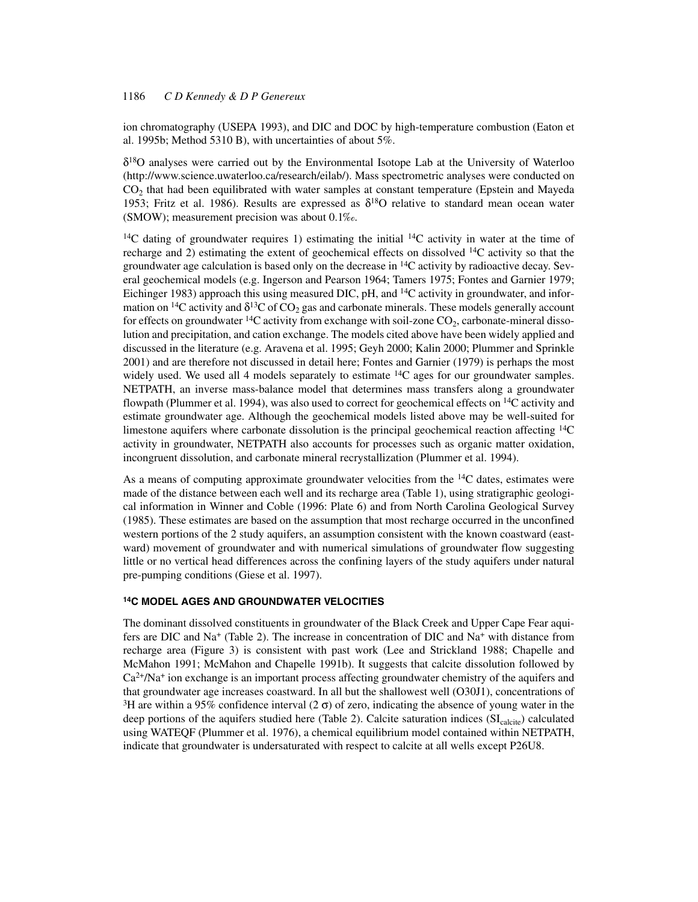ion chromatography (USEPA 1993), and DIC and DOC by high-temperature combustion (Eaton et al. 1995b; Method 5310 B), with uncertainties of about 5%.

 $\delta^{18}$ O analyses were carried out by the Environmental Isotope Lab at the University of Waterloo (http://www.science.uwaterloo.ca/research/eilab/). Mass spectrometric analyses were conducted on  $CO<sub>2</sub>$  that had been equilibrated with water samples at constant temperature (Epstein and Mayeda 1953; Fritz et al. 1986). Results are expressed as  $\delta^{18}O$  relative to standard mean ocean water (SMOW); measurement precision was about 0.1‰.

<sup>14</sup>C dating of groundwater requires 1) estimating the initial  $14C$  activity in water at the time of recharge and 2) estimating the extent of geochemical effects on dissolved  $^{14}$ C activity so that the groundwater age calculation is based only on the decrease in  $^{14}C$  activity by radioactive decay. Several geochemical models (e.g. Ingerson and Pearson 1964; Tamers 1975; Fontes and Garnier 1979; Eichinger 1983) approach this using measured DIC, pH, and 14C activity in groundwater, and information on <sup>14</sup>C activity and  $\delta^{13}$ C of CO<sub>2</sub> gas and carbonate minerals. These models generally account for effects on groundwater <sup>14</sup>C activity from exchange with soil-zone  $CO_2$ , carbonate-mineral dissolution and precipitation, and cation exchange. The models cited above have been widely applied and discussed in the literature (e.g. Aravena et al. 1995; Geyh 2000; Kalin 2000; Plummer and Sprinkle 2001) and are therefore not discussed in detail here; Fontes and Garnier (1979) is perhaps the most widely used. We used all 4 models separately to estimate  $^{14}C$  ages for our groundwater samples. NETPATH, an inverse mass-balance model that determines mass transfers along a groundwater flowpath (Plummer et al. 1994), was also used to correct for geochemical effects on  $^{14}$ C activity and estimate groundwater age. Although the geochemical models listed above may be well-suited for limestone aquifers where carbonate dissolution is the principal geochemical reaction affecting 14C activity in groundwater, NETPATH also accounts for processes such as organic matter oxidation, incongruent dissolution, and carbonate mineral recrystallization (Plummer et al. 1994).

As a means of computing approximate groundwater velocities from the <sup>14</sup>C dates, estimates were made of the distance between each well and its recharge area (Table 1), using stratigraphic geological information in Winner and Coble (1996: Plate 6) and from North Carolina Geological Survey (1985). These estimates are based on the assumption that most recharge occurred in the unconfined western portions of the 2 study aquifers, an assumption consistent with the known coastward (eastward) movement of groundwater and with numerical simulations of groundwater flow suggesting little or no vertical head differences across the confining layers of the study aquifers under natural pre-pumping conditions (Giese et al. 1997).

## **14C MODEL AGES AND GROUNDWATER VELOCITIES**

The dominant dissolved constituents in groundwater of the Black Creek and Upper Cape Fear aquifers are DIC and Na<sup>+</sup> (Table 2). The increase in concentration of DIC and Na<sup>+</sup> with distance from recharge area (Figure 3) is consistent with past work (Lee and Strickland 1988; Chapelle and McMahon 1991; McMahon and Chapelle 1991b). It suggests that calcite dissolution followed by  $Ca<sup>2+</sup>/Na<sup>+</sup>$  ion exchange is an important process affecting groundwater chemistry of the aquifers and that groundwater age increases coastward. In all but the shallowest well (O30J1), concentrations of <sup>3</sup>H are within a 95% confidence interval (2  $\sigma$ ) of zero, indicating the absence of young water in the deep portions of the aquifers studied here (Table 2). Calcite saturation indices (SI<sub>calcite</sub>) calculated using WATEQF (Plummer et al. 1976), a chemical equilibrium model contained within NETPATH, indicate that groundwater is undersaturated with respect to calcite at all wells except P26U8.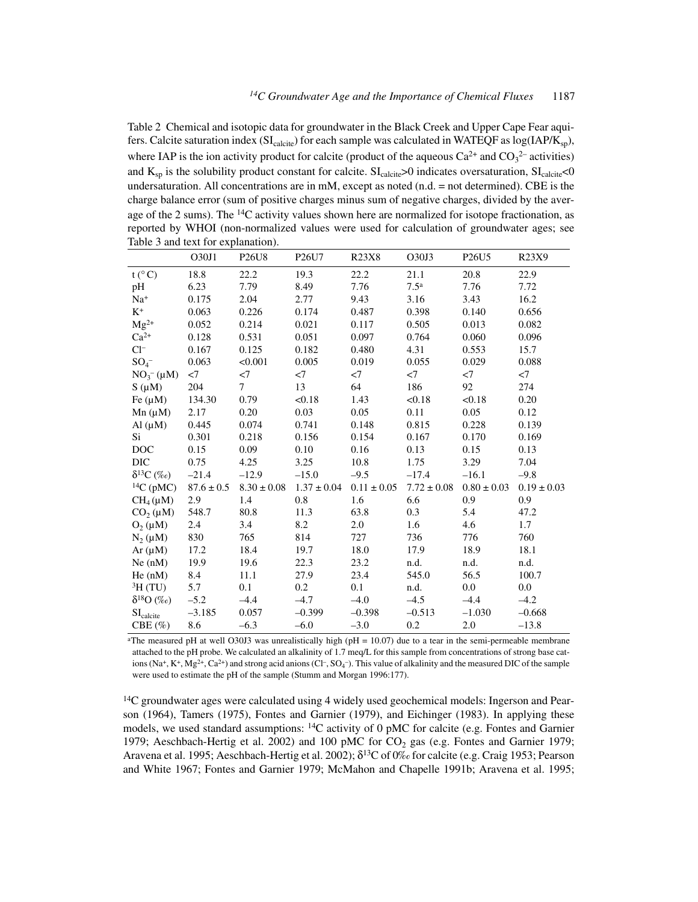Table 2 Chemical and isotopic data for groundwater in the Black Creek and Upper Cape Fear aquifers. Calcite saturation index (SI<sub>calcite</sub>) for each sample was calculated in WATEQF as log(IAP/K<sub>sp</sub>), where IAP is the ion activity product for calcite (product of the aqueous  $Ca^{2+}$  and  $CO<sub>3</sub><sup>2-</sup>$  activities) and  $K_{sp}$  is the solubility product constant for calcite.  $SI_{\text{calicite}} > 0$  indicates oversaturation,  $SI_{\text{calicite}} < 0$ undersaturation. All concentrations are in mM, except as noted (n.d. = not determined). CBE is the charge balance error (sum of positive charges minus sum of negative charges, divided by the average of the 2 sums). The  $^{14}$ C activity values shown here are normalized for isotope fractionation, as reported by WHOI (non-normalized values were used for calculation of groundwater ages; see Table 3 and text for explanation).

|                                  | O30J1        | P <sub>26</sub> U <sub>8</sub> | P <sub>26</sub> U <sub>7</sub> | R23X8           | O30J3            | P <sub>26</sub> U <sub>5</sub> | R23X9           |
|----------------------------------|--------------|--------------------------------|--------------------------------|-----------------|------------------|--------------------------------|-----------------|
| $t (^\circ C)$                   | 18.8         | 22.2                           | 19.3                           | 22.2            | 21.1             | 20.8                           | 22.9            |
| pH                               | 6.23         | 7.79                           | 8.49                           | 7.76            | 7.5 <sup>a</sup> | 7.76                           | 7.72            |
| $Na+$                            | 0.175        | 2.04                           | 2.77                           | 9.43            | 3.16             | 3.43                           | 16.2            |
| $K^+$                            | 0.063        | 0.226                          | 0.174                          | 0.487           | 0.398            | 0.140                          | 0.656           |
| $Mg^{2+}$                        | 0.052        | 0.214                          | 0.021                          | 0.117           | 0.505            | 0.013                          | 0.082           |
| $Ca^{2+}$                        | 0.128        | 0.531                          | 0.051                          | 0.097           | 0.764            | 0.060                          | 0.096           |
| $Cl^-$                           | 0.167        | 0.125                          | 0.182                          | 0.480           | 4.31             | 0.553                          | 15.7            |
| $SO_4^-$                         | 0.063        | < 0.001                        | 0.005                          | 0.019           | 0.055            | 0.029                          | 0.088           |
| $NO_3^- (\mu M)$                 | $<$ 7        | $<$ 7                          | $<$ 7                          | $<$ 7           | $<$ 7            | $<$ 7                          | $<$ 7           |
| $S(\mu M)$                       | 204          | 7                              | 13                             | 64              | 186              | 92                             | 274             |
| Fe $(\mu M)$                     | 134.30       | 0.79                           | < 0.18                         | 1.43            | < 0.18           | < 0.18                         | 0.20            |
| $Mn(\mu M)$                      | 2.17         | 0.20                           | 0.03                           | 0.05            | 0.11             | 0.05                           | 0.12            |
| $Al(\mu M)$                      | 0.445        | 0.074                          | 0.741                          | 0.148           | 0.815            | 0.228                          | 0.139           |
| Si                               | 0.301        | 0.218                          | 0.156                          | 0.154           | 0.167            | 0.170                          | 0.169           |
| <b>DOC</b>                       | 0.15         | 0.09                           | 0.10                           | 0.16            | 0.13             | 0.15                           | 0.13            |
| <b>DIC</b>                       | 0.75         | 4.25                           | 3.25                           | 10.8            | 1.75             | 3.29                           | 7.04            |
| $\delta^{13}C$ (%o)              | $-21.4$      | $-12.9$                        | $-15.0$                        | $-9.5$          | $-17.4$          | $-16.1$                        | $-9.8$          |
| ${}^{14}C$ (pMC)                 | $87.6\pm0.5$ | $8.30 \pm 0.08$                | $1.37 \pm 0.04$                | $0.11 \pm 0.05$ | $7.72 \pm 0.08$  | $0.80 \pm 0.03$                | $0.19 \pm 0.03$ |
| $CH_4(\mu M)$                    | 2.9          | 1.4                            | 0.8                            | 1.6             | 6.6              | 0.9                            | 0.9             |
| $CO2(\mu M)$                     | 548.7        | 80.8                           | 11.3                           | 63.8            | 0.3              | 5.4                            | 47.2            |
| $O_2(\mu M)$                     | 2.4          | 3.4                            | 8.2                            | 2.0             | 1.6              | 4.6                            | 1.7             |
| $N_2(\mu M)$                     | 830          | 765                            | 814                            | 727             | 736              | 776                            | 760             |
| $Ar(\mu M)$                      | 17.2         | 18.4                           | 19.7                           | 18.0            | 17.9             | 18.9                           | 18.1            |
| Ne(nM)                           | 19.9         | 19.6                           | 22.3                           | 23.2            | n.d.             | n.d.                           | n.d.            |
| He (nM)                          | 8.4          | 11.1                           | 27.9                           | 23.4            | 545.0            | 56.5                           | 100.7           |
| ${}^{3}H$ (TU)                   | 5.7          | 0.1                            | 0.2                            | 0.1             | n.d.             | 0.0                            | 0.0             |
| $\delta^{18}{\rm O}$ $(\%o)$     | $-5.2$       | $-4.4$                         | $-4.7$                         | $-4.0$          | $-4.5$           | $-4.4$                         | $-4.2$          |
| $\mathrm{SI}_{\mathrm{calcite}}$ | $-3.185$     | 0.057                          | $-0.399$                       | $-0.398$        | $-0.513$         | $-1.030$                       | $-0.668$        |
| CBE(%)                           | 8.6          | $-6.3$                         | $-6.0$                         | $-3.0$          | 0.2              | 2.0                            | $-13.8$         |

<sup>a</sup>The measured pH at well O30J3 was unrealistically high (pH =  $10.07$ ) due to a tear in the semi-permeable membrane attached to the pH probe. We calculated an alkalinity of 1.7 meq/L for this sample from concentrations of strong base cations  $(Na^+, K^+, Mg^{2+}, Ca^{2+})$  and strong acid anions  $(Cl^-, SO_4^-)$ . This value of alkalinity and the measured DIC of the sample were used to estimate the pH of the sample (Stumm and Morgan 1996:177).

<sup>14</sup>C groundwater ages were calculated using 4 widely used geochemical models: Ingerson and Pearson (1964), Tamers (1975), Fontes and Garnier (1979), and Eichinger (1983). In applying these models, we used standard assumptions: <sup>14</sup>C activity of 0 pMC for calcite (e.g. Fontes and Garnier 1979; Aeschbach-Hertig et al. 2002) and 100 pMC for  $CO_2$  gas (e.g. Fontes and Garnier 1979; Aravena et al. 1995; Aeschbach-Hertig et al. 2002);  $\delta^{13}C$  of 0‰ for calcite (e.g. Craig 1953; Pearson and White 1967; Fontes and Garnier 1979; McMahon and Chapelle 1991b; Aravena et al. 1995;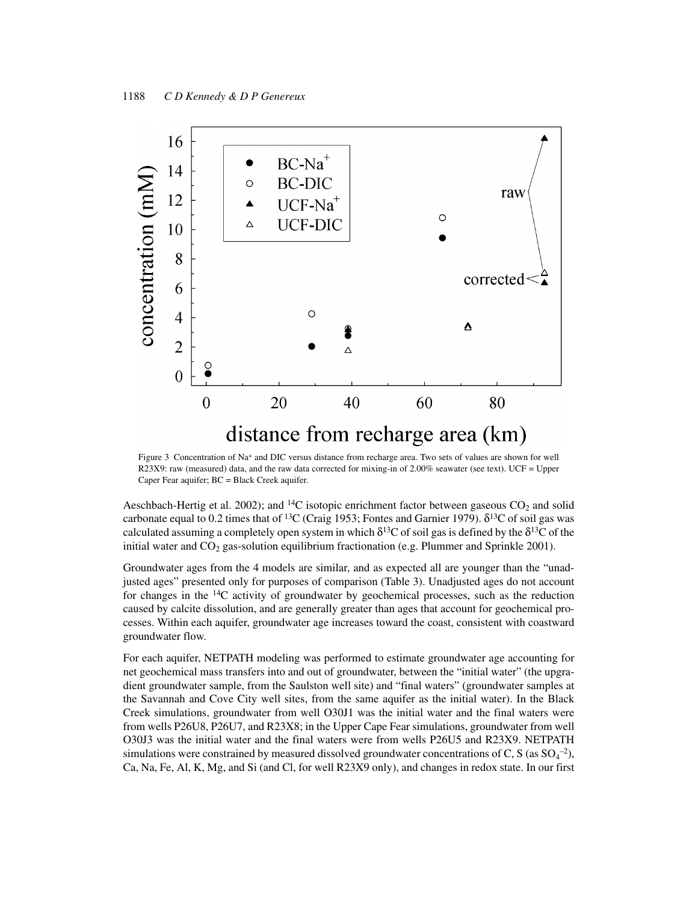

Figure 3 Concentration of Na<sup>+</sup> and DIC versus distance from recharge area. Two sets of values are shown for well R23X9: raw (measured) data, and the raw data corrected for mixing-in of 2.00% seawater (see text). UCF = Upper Caper Fear aquifer; BC = Black Creek aquifer.

Aeschbach-Hertig et al. 2002); and <sup>14</sup>C isotopic enrichment factor between gaseous  $CO_2$  and solid carbonate equal to 0.2 times that of <sup>13</sup>C (Craig 1953; Fontes and Garnier 1979). δ<sup>13</sup>C of soil gas was calculated assuming a completely open system in which  $\delta^{13}C$  of soil gas is defined by the  $\delta^{13}C$  of the initial water and  $CO<sub>2</sub>$  gas-solution equilibrium fractionation (e.g. Plummer and Sprinkle 2001).

Groundwater ages from the 4 models are similar, and as expected all are younger than the "unadjusted ages" presented only for purposes of comparison (Table 3). Unadjusted ages do not account for changes in the  $14C$  activity of groundwater by geochemical processes, such as the reduction caused by calcite dissolution, and are generally greater than ages that account for geochemical processes. Within each aquifer, groundwater age increases toward the coast, consistent with coastward groundwater flow.

For each aquifer, NETPATH modeling was performed to estimate groundwater age accounting for net geochemical mass transfers into and out of groundwater, between the "initial water" (the upgradient groundwater sample, from the Saulston well site) and "final waters" (groundwater samples at the Savannah and Cove City well sites, from the same aquifer as the initial water). In the Black Creek simulations, groundwater from well O30J1 was the initial water and the final waters were from wells P26U8, P26U7, and R23X8; in the Upper Cape Fear simulations, groundwater from well O30J3 was the initial water and the final waters were from wells P26U5 and R23X9. NETPATH simulations were constrained by measured dissolved groundwater concentrations of C, S (as  $SO_4^{-2}$ ), Ca, Na, Fe, Al, K, Mg, and Si (and Cl, for well R23X9 only), and changes in redox state. In our first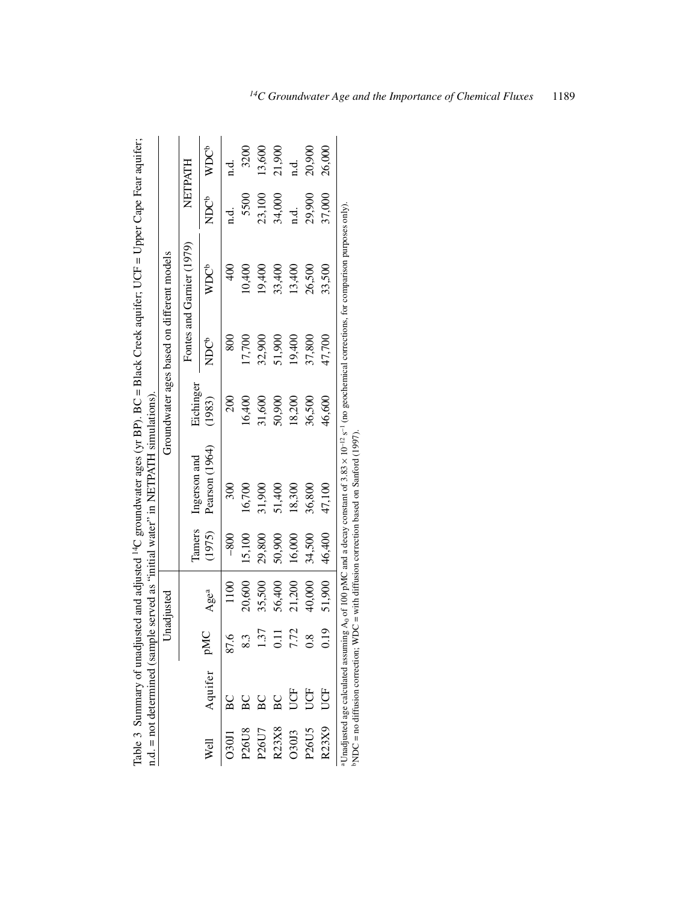|                                |              |                    | Unadjusted |        |                                                                                                                                                                                                                                                                            | Groundwater ages based on different models |                 |                           |               |                  |
|--------------------------------|--------------|--------------------|------------|--------|----------------------------------------------------------------------------------------------------------------------------------------------------------------------------------------------------------------------------------------------------------------------------|--------------------------------------------|-----------------|---------------------------|---------------|------------------|
|                                |              |                    |            | Tamers | Ingerson and                                                                                                                                                                                                                                                               | Eichinger                                  |                 | Fontes and Garnier (1979) |               | NETPATH          |
| Well                           | Aquifer pMC  |                    | Agea       | (1975) | Pearson (1964)                                                                                                                                                                                                                                                             | (1983)                                     | <b>C</b><br>NDC | <b>WDC</b> b              | ಕ್ಕೆ<br>ನ     | WDC <sup>t</sup> |
| O30J1                          | $\mathbf{B}$ | 87.6               | 1100       | $-800$ | 300                                                                                                                                                                                                                                                                        | 200                                        | 800             | 400                       | d.<br>q       | n.d.             |
| P26U8                          | $_{\rm BC}$  | Ĉ.                 | 20,600     | 15,100 | 16,700                                                                                                                                                                                                                                                                     | 16,400                                     | 17,700          | 10,400                    | 5500          | 3200             |
| P26U7                          | BC           | .37                | 35,500     | 29,800 | 31,900                                                                                                                                                                                                                                                                     | 31,600                                     | 32,900          | 19,400                    | 23,100        | 13,600           |
| R23X8                          | $_{\rm BC}$  |                    | 56,400     | 50,900 | 51,400                                                                                                                                                                                                                                                                     | 50,900                                     | 51,900          | 33,400                    | 34,000        | 21,900           |
| 030J3                          | UCF          | .72                | 21,200     | 16,000 | 18,300                                                                                                                                                                                                                                                                     | 18,200                                     | 19,400          | 13,400                    | $\frac{d}{d}$ |                  |
| P <sub>26</sub> U <sub>5</sub> | UCF          | $\dot{\mathbf{S}}$ | 40,000     | 34,500 | 36,800                                                                                                                                                                                                                                                                     | 36,500                                     | 37,800          | 26,500                    | 29,900        | 20,900           |
| R23X9                          | UCF          | 0.19               | 51,900     | 46,400 | 47,100                                                                                                                                                                                                                                                                     | 46,600                                     | 47,700          | 33,500                    | 37,000        | 26,000           |
|                                |              |                    |            |        | Unadjusted age calculated assuming $A_0$ of 100 pMC and a decay constant of 3.83 × 10 <sup>-12</sup> s <sup>-1</sup> (no geochemical corrections, for comparison purposes only)<br>PNDC = no diffusion correction; WDC = with diffusion correction based on Sanford (1997) |                                            |                 |                           |               |                  |

Table 3 Summary of unadjusted and adjusted <sup>14</sup>C groundwater ages (yr BP). BC = Black Creek aquifer; UCF = Upper Cape Fear aquifer; Table 3 Summary of unadjusted and adjusted 14C groundwater ages (yr BP). BC = Black Creek aquifer; UCF = Upper Cape Fear aquifer; n.d. = not determined (sample served as "initial water" in NETPATH simulations).  $\frac{d}{d}$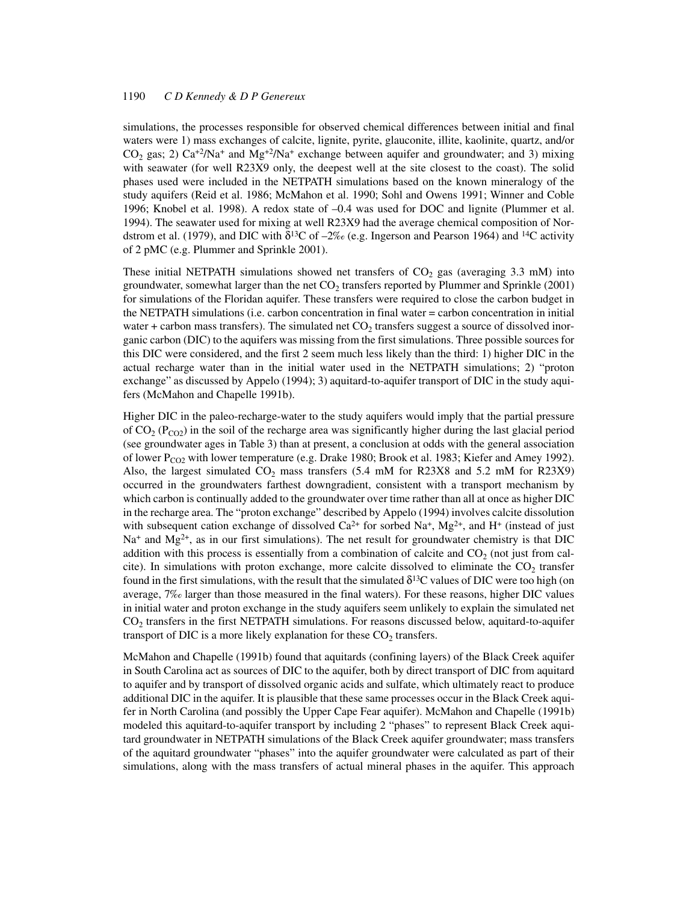simulations, the processes responsible for observed chemical differences between initial and final waters were 1) mass exchanges of calcite, lignite, pyrite, glauconite, illite, kaolinite, quartz, and/or  $CO<sub>2</sub>$  gas; 2)  $Ca<sup>+2</sup>/Na<sup>+</sup>$  and  $Mg<sup>+2</sup>/Na<sup>+</sup>$  exchange between aquifer and groundwater; and 3) mixing with seawater (for well R23X9 only, the deepest well at the site closest to the coast). The solid phases used were included in the NETPATH simulations based on the known mineralogy of the study aquifers (Reid et al. 1986; McMahon et al. 1990; Sohl and Owens 1991; Winner and Coble 1996; Knobel et al. 1998). A redox state of –0.4 was used for DOC and lignite (Plummer et al. 1994). The seawater used for mixing at well R23X9 had the average chemical composition of Nordstrom et al. (1979), and DIC with  $\delta^{13}C$  of  $-2\%$  (e.g. Ingerson and Pearson 1964) and <sup>14</sup>C activity of 2 pMC (e.g. Plummer and Sprinkle 2001).

These initial NETPATH simulations showed net transfers of  $CO<sub>2</sub>$  gas (averaging 3.3 mM) into groundwater, somewhat larger than the net  $CO<sub>2</sub>$  transfers reported by Plummer and Sprinkle (2001) for simulations of the Floridan aquifer. These transfers were required to close the carbon budget in the NETPATH simulations (i.e. carbon concentration in final water = carbon concentration in initial water + carbon mass transfers). The simulated net  $CO<sub>2</sub>$  transfers suggest a source of dissolved inorganic carbon (DIC) to the aquifers was missing from the first simulations. Three possible sources for this DIC were considered, and the first 2 seem much less likely than the third: 1) higher DIC in the actual recharge water than in the initial water used in the NETPATH simulations; 2) "proton exchange" as discussed by Appelo (1994); 3) aquitard-to-aquifer transport of DIC in the study aquifers (McMahon and Chapelle 1991b).

Higher DIC in the paleo-recharge-water to the study aquifers would imply that the partial pressure of  $CO<sub>2</sub> (P<sub>CO2</sub>)$  in the soil of the recharge area was significantly higher during the last glacial period (see groundwater ages in Table 3) than at present, a conclusion at odds with the general association of lower P<sub>CO2</sub> with lower temperature (e.g. Drake 1980; Brook et al. 1983; Kiefer and Amey 1992). Also, the largest simulated  $CO<sub>2</sub>$  mass transfers (5.4 mM for R23X8 and 5.2 mM for R23X9) occurred in the groundwaters farthest downgradient, consistent with a transport mechanism by which carbon is continually added to the groundwater over time rather than all at once as higher DIC in the recharge area. The "proton exchange" described by Appelo (1994) involves calcite dissolution with subsequent cation exchange of dissolved  $Ca^{2+}$  for sorbed Na<sup>+</sup>, Mg<sup>2+</sup>, and H<sup>+</sup> (instead of just  $Na<sup>+</sup>$  and  $Mg<sup>2+</sup>$ , as in our first simulations). The net result for groundwater chemistry is that DIC addition with this process is essentially from a combination of calcite and  $CO<sub>2</sub>$  (not just from calcite). In simulations with proton exchange, more calcite dissolved to eliminate the  $CO<sub>2</sub>$  transfer found in the first simulations, with the result that the simulated  $\delta^{13}C$  values of DIC were too high (on average, 7‰ larger than those measured in the final waters). For these reasons, higher DIC values in initial water and proton exchange in the study aquifers seem unlikely to explain the simulated net  $CO<sub>2</sub>$  transfers in the first NETPATH simulations. For reasons discussed below, aquitard-to-aquifer transport of DIC is a more likely explanation for these  $CO<sub>2</sub>$  transfers.

McMahon and Chapelle (1991b) found that aquitards (confining layers) of the Black Creek aquifer in South Carolina act as sources of DIC to the aquifer, both by direct transport of DIC from aquitard to aquifer and by transport of dissolved organic acids and sulfate, which ultimately react to produce additional DIC in the aquifer. It is plausible that these same processes occur in the Black Creek aquifer in North Carolina (and possibly the Upper Cape Fear aquifer). McMahon and Chapelle (1991b) modeled this aquitard-to-aquifer transport by including 2 "phases" to represent Black Creek aquitard groundwater in NETPATH simulations of the Black Creek aquifer groundwater; mass transfers of the aquitard groundwater "phases" into the aquifer groundwater were calculated as part of their simulations, along with the mass transfers of actual mineral phases in the aquifer. This approach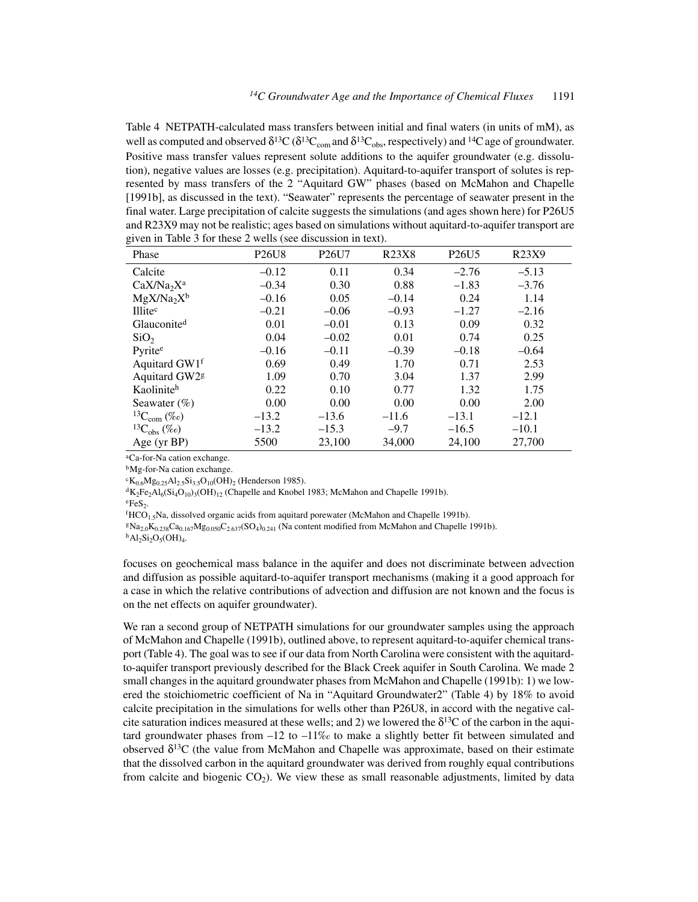Table 4 NETPATH-calculated mass transfers between initial and final waters (in units of mM), as well as computed and observed  $\delta^{13}C(\delta^{13}C_{\text{com}}$  and  $\delta^{13}C_{\text{obs}}$ , respectively) and <sup>14</sup>C age of groundwater. Positive mass transfer values represent solute additions to the aquifer groundwater (e.g. dissolution), negative values are losses (e.g. precipitation). Aquitard-to-aquifer transport of solutes is represented by mass transfers of the 2 "Aquitard GW" phases (based on McMahon and Chapelle [1991b], as discussed in the text). "Seawater" represents the percentage of seawater present in the final water. Large precipitation of calcite suggests the simulations (and ages shown here) for P26U5 and R23X9 may not be realistic; ages based on simulations without aquitard-to-aquifer transport are given in Table 3 for these 2 wells (see discussion in text).

| Phase                        | <b>P26U8</b> | P <sub>26</sub> U7 | <b>R23X8</b> | P <sub>26</sub> U <sub>5</sub> | R <sub>23</sub> X <sub>9</sub> |
|------------------------------|--------------|--------------------|--------------|--------------------------------|--------------------------------|
| Calcite                      | $-0.12$      | 0.11               | 0.34         | $-2.76$                        | $-5.13$                        |
| $CaX/Na_2X^a$                | $-0.34$      | 0.30               | 0.88         | $-1.83$                        | $-3.76$                        |
| $MgX/Na_2X^b$                | $-0.16$      | 0.05               | $-0.14$      | 0.24                           | 1.14                           |
| Illitec                      | $-0.21$      | $-0.06$            | $-0.93$      | $-1.27$                        | $-2.16$                        |
| Glauconite <sup>d</sup>      | 0.01         | $-0.01$            | 0.13         | 0.09                           | 0.32                           |
| SiO <sub>2</sub>             | 0.04         | $-0.02$            | 0.01         | 0.74                           | 0.25                           |
| Pyrite <sup>e</sup>          | $-0.16$      | $-0.11$            | $-0.39$      | $-0.18$                        | $-0.64$                        |
| Aquitard GW1f                | 0.69         | 0.49               | 1.70         | 0.71                           | 2.53                           |
| Aquitard GW2 <sup>g</sup>    | 1.09         | 0.70               | 3.04         | 1.37                           | 2.99                           |
| Kaoliniteh                   | 0.22         | 0.10               | 0.77         | 1.32                           | 1.75                           |
| Seawater $(\% )$             | 0.00         | 0.00               | 0.00         | 0.00                           | 2.00                           |
| ${}^{13}C_{\rm com}$ (%o)    | $-13.2$      | $-13.6$            | $-11.6$      | $-13.1$                        | $-12.1$                        |
| ${}^{13}C_{\text{obs}}$ (%o) | $-13.2$      | $-15.3$            | $-9.7$       | $-16.5$                        | $-10.1$                        |
| Age (yr BP)                  | 5500         | 23,100             | 34,000       | 24,100                         | 27,700                         |

aCa-for-Na cation exchange.

bMg-for-Na cation exchange.

 ${}^{c}K_{0.6}Mg_{0.25}Al_{2.5}Si_{3.5}O_{10}(OH)_{2}$  (Henderson 1985).

 ${}^{d}K_{2}Fe_{2}Al_{6}(Si_{4}O_{10})_{3}(OH)_{12}$  (Chapelle and Knobel 1983; McMahon and Chapelle 1991b).

 $eFeS<sub>2</sub>$ .

 ${}^f$ HCO<sub>1.5</sub>Na, dissolved organic acids from aquitard porewater (McMahon and Chapelle 1991b).

 $Na_{2.0}K_{0.238}Ca_{0.167}Mg_{0.050}C_{2.637}(SO_4)_{0.241}$  (Na content modified from McMahon and Chapelle 1991b).

 $h$ Al<sub>2</sub>Si<sub>2</sub>O<sub>5</sub>(OH)<sub>4</sub>.

focuses on geochemical mass balance in the aquifer and does not discriminate between advection and diffusion as possible aquitard-to-aquifer transport mechanisms (making it a good approach for a case in which the relative contributions of advection and diffusion are not known and the focus is on the net effects on aquifer groundwater).

We ran a second group of NETPATH simulations for our groundwater samples using the approach of McMahon and Chapelle (1991b), outlined above, to represent aquitard-to-aquifer chemical transport (Table 4). The goal was to see if our data from North Carolina were consistent with the aquitardto-aquifer transport previously described for the Black Creek aquifer in South Carolina. We made 2 small changes in the aquitard groundwater phases from McMahon and Chapelle (1991b): 1) we lowered the stoichiometric coefficient of Na in "Aquitard Groundwater2" (Table 4) by 18% to avoid calcite precipitation in the simulations for wells other than P26U8, in accord with the negative calcite saturation indices measured at these wells; and 2) we lowered the  $\delta^{13}$ C of the carbon in the aquitard groundwater phases from  $-12$  to  $-11\%$  to make a slightly better fit between simulated and observed  $\delta^{13}C$  (the value from McMahon and Chapelle was approximate, based on their estimate that the dissolved carbon in the aquitard groundwater was derived from roughly equal contributions from calcite and biogenic  $CO<sub>2</sub>$ ). We view these as small reasonable adjustments, limited by data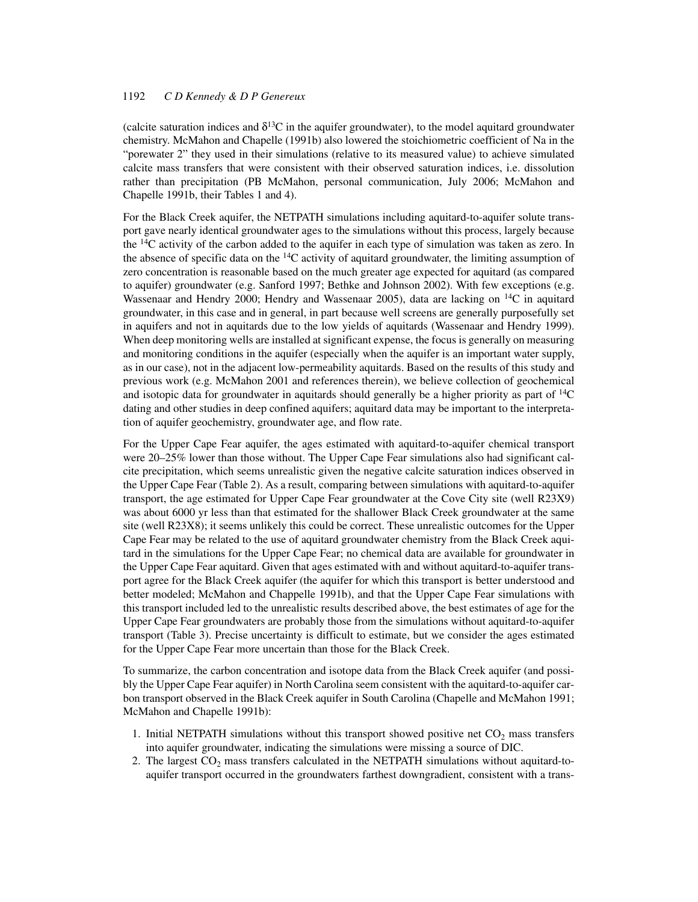(calcite saturation indices and  $\delta^{13}$ C in the aquifer groundwater), to the model aquitard groundwater chemistry. McMahon and Chapelle (1991b) also lowered the stoichiometric coefficient of Na in the "porewater 2" they used in their simulations (relative to its measured value) to achieve simulated calcite mass transfers that were consistent with their observed saturation indices, i.e. dissolution rather than precipitation (PB McMahon, personal communication, July 2006; McMahon and Chapelle 1991b, their Tables 1 and 4).

For the Black Creek aquifer, the NETPATH simulations including aquitard-to-aquifer solute transport gave nearly identical groundwater ages to the simulations without this process, largely because the 14C activity of the carbon added to the aquifer in each type of simulation was taken as zero. In the absence of specific data on the  ${}^{14}C$  activity of aquitard groundwater, the limiting assumption of zero concentration is reasonable based on the much greater age expected for aquitard (as compared to aquifer) groundwater (e.g. Sanford 1997; Bethke and Johnson 2002). With few exceptions (e.g. Wassenaar and Hendry 2000; Hendry and Wassenaar 2005), data are lacking on 14C in aquitard groundwater, in this case and in general, in part because well screens are generally purposefully set in aquifers and not in aquitards due to the low yields of aquitards (Wassenaar and Hendry 1999). When deep monitoring wells are installed at significant expense, the focus is generally on measuring and monitoring conditions in the aquifer (especially when the aquifer is an important water supply, as in our case), not in the adjacent low-permeability aquitards. Based on the results of this study and previous work (e.g. McMahon 2001 and references therein), we believe collection of geochemical and isotopic data for groundwater in aquitards should generally be a higher priority as part of  $^{14}C$ dating and other studies in deep confined aquifers; aquitard data may be important to the interpretation of aquifer geochemistry, groundwater age, and flow rate.

For the Upper Cape Fear aquifer, the ages estimated with aquitard-to-aquifer chemical transport were 20–25% lower than those without. The Upper Cape Fear simulations also had significant calcite precipitation, which seems unrealistic given the negative calcite saturation indices observed in the Upper Cape Fear (Table 2). As a result, comparing between simulations with aquitard-to-aquifer transport, the age estimated for Upper Cape Fear groundwater at the Cove City site (well R23X9) was about 6000 yr less than that estimated for the shallower Black Creek groundwater at the same site (well R23X8); it seems unlikely this could be correct. These unrealistic outcomes for the Upper Cape Fear may be related to the use of aquitard groundwater chemistry from the Black Creek aquitard in the simulations for the Upper Cape Fear; no chemical data are available for groundwater in the Upper Cape Fear aquitard. Given that ages estimated with and without aquitard-to-aquifer transport agree for the Black Creek aquifer (the aquifer for which this transport is better understood and better modeled; McMahon and Chappelle 1991b), and that the Upper Cape Fear simulations with this transport included led to the unrealistic results described above, the best estimates of age for the Upper Cape Fear groundwaters are probably those from the simulations without aquitard-to-aquifer transport (Table 3). Precise uncertainty is difficult to estimate, but we consider the ages estimated for the Upper Cape Fear more uncertain than those for the Black Creek.

To summarize, the carbon concentration and isotope data from the Black Creek aquifer (and possibly the Upper Cape Fear aquifer) in North Carolina seem consistent with the aquitard-to-aquifer carbon transport observed in the Black Creek aquifer in South Carolina (Chapelle and McMahon 1991; McMahon and Chapelle 1991b):

- 1. Initial NETPATH simulations without this transport showed positive net  $CO<sub>2</sub>$  mass transfers into aquifer groundwater, indicating the simulations were missing a source of DIC.
- 2. The largest  $CO<sub>2</sub>$  mass transfers calculated in the NETPATH simulations without aquitard-toaquifer transport occurred in the groundwaters farthest downgradient, consistent with a trans-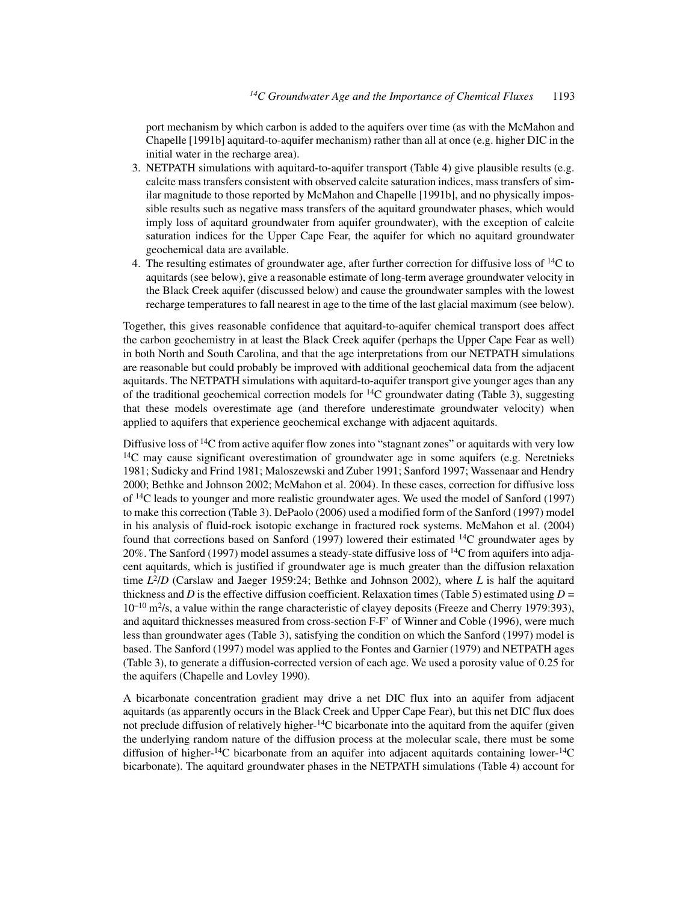port mechanism by which carbon is added to the aquifers over time (as with the McMahon and Chapelle [1991b] aquitard-to-aquifer mechanism) rather than all at once (e.g. higher DIC in the initial water in the recharge area).

- 3. NETPATH simulations with aquitard-to-aquifer transport (Table 4) give plausible results (e.g. calcite mass transfers consistent with observed calcite saturation indices, mass transfers of similar magnitude to those reported by McMahon and Chapelle [1991b], and no physically impossible results such as negative mass transfers of the aquitard groundwater phases, which would imply loss of aquitard groundwater from aquifer groundwater), with the exception of calcite saturation indices for the Upper Cape Fear, the aquifer for which no aquitard groundwater geochemical data are available.
- 4. The resulting estimates of groundwater age, after further correction for diffusive loss of 14C to aquitards (see below), give a reasonable estimate of long-term average groundwater velocity in the Black Creek aquifer (discussed below) and cause the groundwater samples with the lowest recharge temperatures to fall nearest in age to the time of the last glacial maximum (see below).

Together, this gives reasonable confidence that aquitard-to-aquifer chemical transport does affect the carbon geochemistry in at least the Black Creek aquifer (perhaps the Upper Cape Fear as well) in both North and South Carolina, and that the age interpretations from our NETPATH simulations are reasonable but could probably be improved with additional geochemical data from the adjacent aquitards. The NETPATH simulations with aquitard-to-aquifer transport give younger ages than any of the traditional geochemical correction models for  ${}^{14}C$  groundwater dating (Table 3), suggesting that these models overestimate age (and therefore underestimate groundwater velocity) when applied to aquifers that experience geochemical exchange with adjacent aquitards.

Diffusive loss of <sup>14</sup>C from active aquifer flow zones into "stagnant zones" or aquitards with very low <sup>14</sup>C may cause significant overestimation of groundwater age in some aquifers (e.g. Neretnieks 1981; Sudicky and Frind 1981; Maloszewski and Zuber 1991; Sanford 1997; Wassenaar and Hendry 2000; Bethke and Johnson 2002; McMahon et al. 2004). In these cases, correction for diffusive loss of 14C leads to younger and more realistic groundwater ages. We used the model of Sanford (1997) to make this correction (Table 3). DePaolo (2006) used a modified form of the Sanford (1997) model in his analysis of fluid-rock isotopic exchange in fractured rock systems. McMahon et al. (2004) found that corrections based on Sanford (1997) lowered their estimated 14C groundwater ages by 20%. The Sanford (1997) model assumes a steady-state diffusive loss of  ${}^{14}C$  from aquifers into adjacent aquitards, which is justified if groundwater age is much greater than the diffusion relaxation time *L*2/*D* (Carslaw and Jaeger 1959:24; Bethke and Johnson 2002), where *L* is half the aquitard thickness and *D* is the effective diffusion coefficient. Relaxation times (Table 5) estimated using  $D =$  $10^{-10}$  m<sup>2</sup>/s, a value within the range characteristic of clayey deposits (Freeze and Cherry 1979:393), and aquitard thicknesses measured from cross-section F-F' of Winner and Coble (1996), were much less than groundwater ages (Table 3), satisfying the condition on which the Sanford (1997) model is based. The Sanford (1997) model was applied to the Fontes and Garnier (1979) and NETPATH ages (Table 3), to generate a diffusion-corrected version of each age. We used a porosity value of 0.25 for the aquifers (Chapelle and Lovley 1990).

A bicarbonate concentration gradient may drive a net DIC flux into an aquifer from adjacent aquitards (as apparently occurs in the Black Creek and Upper Cape Fear), but this net DIC flux does not preclude diffusion of relatively higher-<sup>14</sup>C bicarbonate into the aquitard from the aquifer (given the underlying random nature of the diffusion process at the molecular scale, there must be some diffusion of higher-<sup>14</sup>C bicarbonate from an aquifer into adjacent aquitards containing lower-<sup>14</sup>C bicarbonate). The aquitard groundwater phases in the NETPATH simulations (Table 4) account for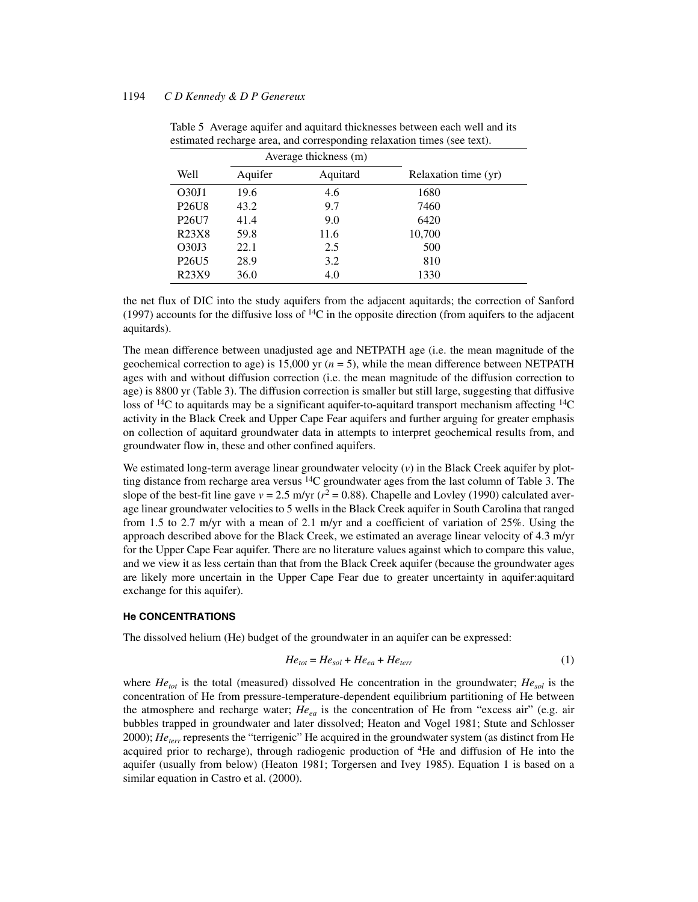|                                |         | Average thickness (m) |                      |
|--------------------------------|---------|-----------------------|----------------------|
| Well                           | Aquifer | Aquitard              | Relaxation time (yr) |
| O <sub>30J1</sub>              | 19.6    | 4.6                   | 1680                 |
| <b>P26U8</b>                   | 43.2    | 9.7                   | 7460                 |
| P <sub>26</sub> U7             | 41.4    | 9.0                   | 6420                 |
| R <sub>2</sub> 3X <sub>8</sub> | 59.8    | 11.6                  | 10,700               |
| O <sub>30J3</sub>              | 22.1    | 2.5                   | 500                  |
| P <sub>26</sub> U <sub>5</sub> | 28.9    | 3.2                   | 810                  |
| R23X9                          | 36.0    | 4.0                   | 1330                 |

Table 5 Average aquifer and aquitard thicknesses between each well and its estimated recharge area, and corresponding relaxation times (see text).

the net flux of DIC into the study aquifers from the adjacent aquitards; the correction of Sanford (1997) accounts for the diffusive loss of  ${}^{14}C$  in the opposite direction (from aquifers to the adjacent aquitards).

The mean difference between unadjusted age and NETPATH age (i.e. the mean magnitude of the geochemical correction to age) is 15,000 yr (*n* = 5), while the mean difference between NETPATH ages with and without diffusion correction (i.e. the mean magnitude of the diffusion correction to age) is 8800 yr (Table 3). The diffusion correction is smaller but still large, suggesting that diffusive loss of  $^{14}C$  to aquitards may be a significant aquifer-to-aquitard transport mechanism affecting  $^{14}C$ activity in the Black Creek and Upper Cape Fear aquifers and further arguing for greater emphasis on collection of aquitard groundwater data in attempts to interpret geochemical results from, and groundwater flow in, these and other confined aquifers.

We estimated long-term average linear groundwater velocity (*v*) in the Black Creek aquifer by plotting distance from recharge area versus 14C groundwater ages from the last column of Table 3. The slope of the best-fit line gave  $v = 2.5$  m/yr ( $r^2 = 0.88$ ). Chapelle and Lovley (1990) calculated average linear groundwater velocities to 5 wells in the Black Creek aquifer in South Carolina that ranged from 1.5 to 2.7 m/yr with a mean of 2.1 m/yr and a coefficient of variation of 25%. Using the approach described above for the Black Creek, we estimated an average linear velocity of 4.3 m/yr for the Upper Cape Fear aquifer. There are no literature values against which to compare this value, and we view it as less certain than that from the Black Creek aquifer (because the groundwater ages are likely more uncertain in the Upper Cape Fear due to greater uncertainty in aquifer:aquitard exchange for this aquifer).

#### **He CONCENTRATIONS**

The dissolved helium (He) budget of the groundwater in an aquifer can be expressed:

$$
He_{tot} = He_{sol} + He_{ea} + He_{terr}
$$
 (1)

where  $He<sub>tot</sub>$  is the total (measured) dissolved He concentration in the groundwater;  $He<sub>sol</sub>$  is the concentration of He from pressure-temperature-dependent equilibrium partitioning of He between the atmosphere and recharge water; *Heea* is the concentration of He from "excess air" (e.g. air bubbles trapped in groundwater and later dissolved; Heaton and Vogel 1981; Stute and Schlosser 2000); *Heterr* represents the "terrigenic" He acquired in the groundwater system (as distinct from He acquired prior to recharge), through radiogenic production of 4He and diffusion of He into the aquifer (usually from below) (Heaton 1981; Torgersen and Ivey 1985). Equation 1 is based on a similar equation in Castro et al. (2000).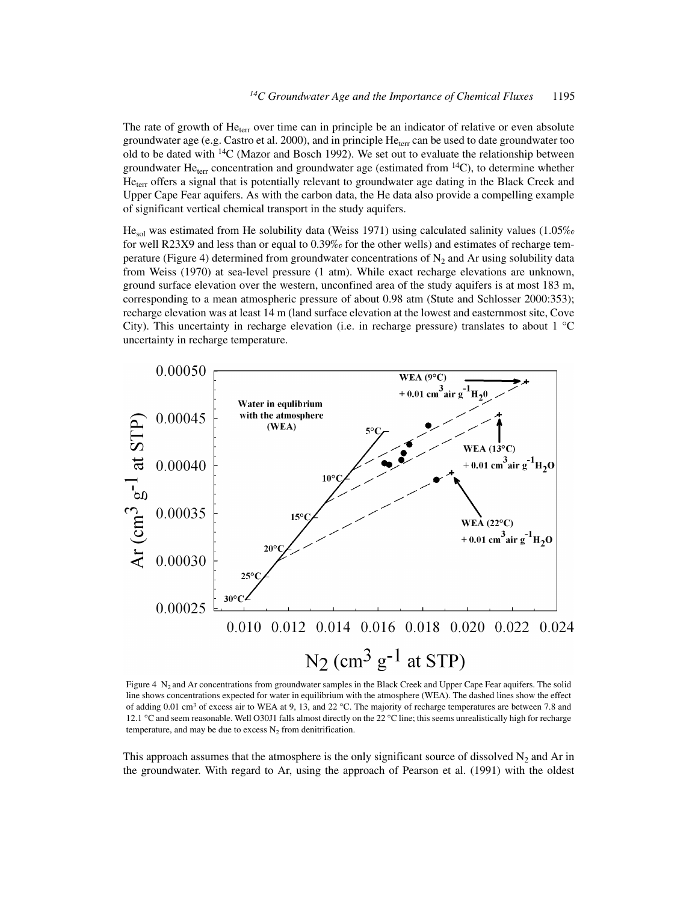The rate of growth of  $He<sub>terr</sub>$  over time can in principle be an indicator of relative or even absolute groundwater age (e.g. Castro et al. 2000), and in principle  $He_{ter}$  can be used to date groundwater too old to be dated with  $14C$  (Mazor and Bosch 1992). We set out to evaluate the relationship between groundwater He<sub>terr</sub> concentration and groundwater age (estimated from  $^{14}$ C), to determine whether He<sub>terr</sub> offers a signal that is potentially relevant to groundwater age dating in the Black Creek and Upper Cape Fear aquifers. As with the carbon data, the He data also provide a compelling example of significant vertical chemical transport in the study aquifers.

 $He<sub>sol</sub>$  was estimated from He solubility data (Weiss 1971) using calculated salinity values (1.05% for well R23X9 and less than or equal to 0.39‰ for the other wells) and estimates of recharge temperature (Figure 4) determined from groundwater concentrations of  $N_2$  and Ar using solubility data from Weiss (1970) at sea-level pressure (1 atm). While exact recharge elevations are unknown, ground surface elevation over the western, unconfined area of the study aquifers is at most 183 m, corresponding to a mean atmospheric pressure of about 0.98 atm (Stute and Schlosser 2000:353); recharge elevation was at least 14 m (land surface elevation at the lowest and easternmost site, Cove City). This uncertainty in recharge elevation (i.e. in recharge pressure) translates to about 1 °C uncertainty in recharge temperature.



Figure 4  $N_2$  and Ar concentrations from groundwater samples in the Black Creek and Upper Cape Fear aquifers. The solid line shows concentrations expected for water in equilibrium with the atmosphere (WEA). The dashed lines show the effect of adding 0.01 cm<sup>3</sup> of excess air to WEA at 9, 13, and 22 °C. The majority of recharge temperatures are between 7.8 and 12.1 °C and seem reasonable. Well O30J1 falls almost directly on the 22 °C line; this seems unrealistically high for recharge temperature, and may be due to excess  $N_2$  from denitrification.

This approach assumes that the atmosphere is the only significant source of dissolved  $N_2$  and Ar in the groundwater. With regard to Ar, using the approach of Pearson et al. (1991) with the oldest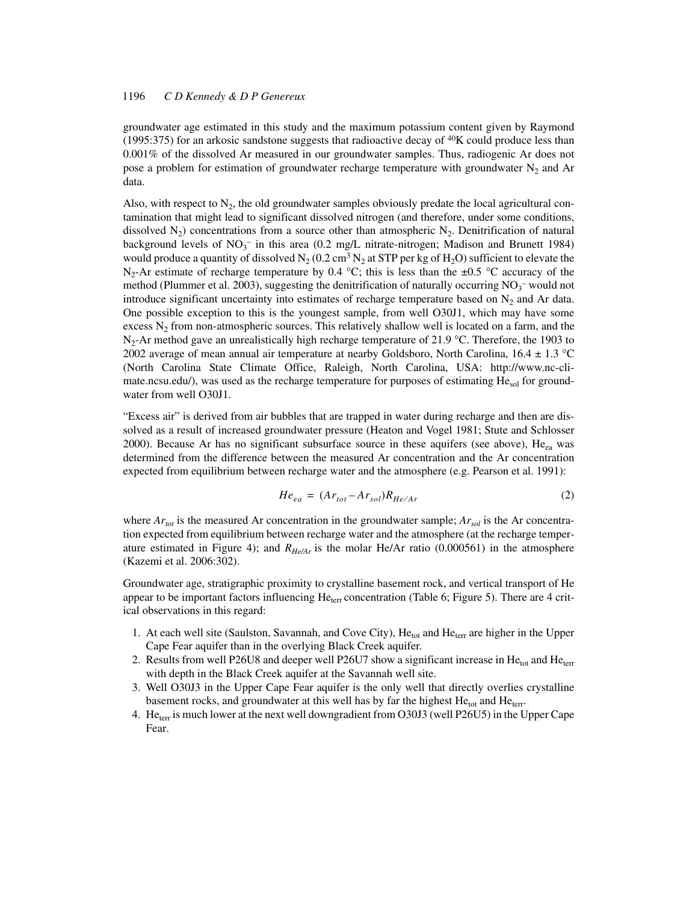groundwater age estimated in this study and the maximum potassium content given by Raymond (1995:375) for an arkosic sandstone suggests that radioactive decay of  $40K$  could produce less than 0.001% of the dissolved Ar measured in our groundwater samples. Thus, radiogenic Ar does not pose a problem for estimation of groundwater recharge temperature with groundwater  $N_2$  and Ar data.

Also, with respect to  $N_2$ , the old groundwater samples obviously predate the local agricultural contamination that might lead to significant dissolved nitrogen (and therefore, under some conditions, dissolved  $N_2$ ) concentrations from a source other than atmospheric  $N_2$ . Denitrification of natural background levels of  $NO_3^-$  in this area (0.2 mg/L nitrate-nitrogen; Madison and Brunett 1984) would produce a quantity of dissolved  $N_2$  (0.2 cm<sup>3</sup> N<sub>2</sub> at STP per kg of H<sub>2</sub>O) sufficient to elevate the N<sub>2</sub>-Ar estimate of recharge temperature by 0.4 °C; this is less than the  $\pm$ 0.5 °C accuracy of the method (Plummer et al. 2003), suggesting the denitrification of naturally occurring  $NO_3^-$  would not introduce significant uncertainty into estimates of recharge temperature based on  $N_2$  and Ar data. One possible exception to this is the youngest sample, from well O30J1, which may have some excess  $N_2$  from non-atmospheric sources. This relatively shallow well is located on a farm, and the  $N_2$ -Ar method gave an unrealistically high recharge temperature of 21.9 °C. Therefore, the 1903 to 2002 average of mean annual air temperature at nearby Goldsboro, North Carolina,  $16.4 \pm 1.3$  °C (North Carolina State Climate Office, Raleigh, North Carolina, USA: http://www.nc-climate.ncsu.edu/), was used as the recharge temperature for purposes of estimating  $He_{sol}$  for groundwater from well O30J1.

"Excess air" is derived from air bubbles that are trapped in water during recharge and then are dissolved as a result of increased groundwater pressure (Heaton and Vogel 1981; Stute and Schlosser 2000). Because Ar has no significant subsurface source in these aquifers (see above),  $He_{eq}$  was determined from the difference between the measured Ar concentration and the Ar concentration expected from equilibrium between recharge water and the atmosphere (e.g. Pearson et al. 1991):

$$
He_{ea} = (Ar_{tot} - Ar_{sol})R_{He/Ar}
$$
 (2)

where  $Ar_{tot}$  is the measured Ar concentration in the groundwater sample;  $Ar_{sol}$  is the Ar concentration expected from equilibrium between recharge water and the atmosphere (at the recharge temperature estimated in Figure 4); and  $R_{He/Ar}$  is the molar He/Ar ratio (0.000561) in the atmosphere (Kazemi et al. 2006:302).

Groundwater age, stratigraphic proximity to crystalline basement rock, and vertical transport of He appear to be important factors influencing  $He<sub>terr</sub> concentration$  (Table 6; Figure 5). There are 4 critical observations in this regard:

- 1. At each well site (Saulston, Savannah, and Cove City), He<sub>tot</sub> and He<sub>terr</sub> are higher in the Upper Cape Fear aquifer than in the overlying Black Creek aquifer.
- 2. Results from well P26U8 and deeper well P26U7 show a significant increase in He<sub>tot</sub> and He<sub>terr</sub> with depth in the Black Creek aquifer at the Savannah well site.
- 3. Well O30J3 in the Upper Cape Fear aquifer is the only well that directly overlies crystalline basement rocks, and groundwater at this well has by far the highest He<sub>tot</sub> and He<sub>terr</sub>.
- 4. He<sub>terr</sub> is much lower at the next well downgradient from O30J3 (well P26U5) in the Upper Cape Fear.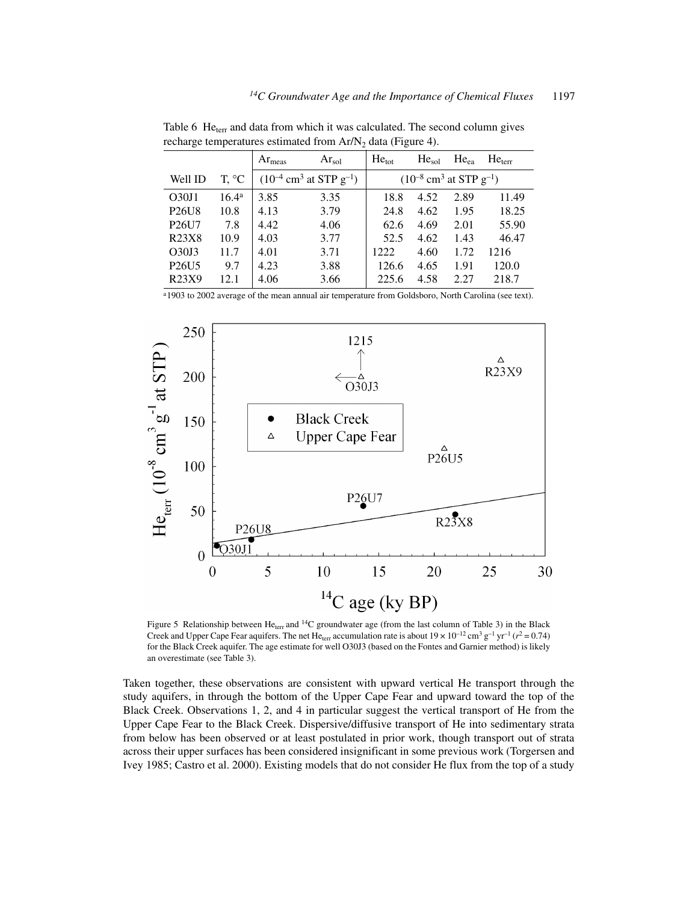|                                |                | $Ar_{meas}$ | $Ar_{\rm sol}$                                      | $He_{tot}$ | He <sub>sol</sub>                                   | $He_{ea}$ | He <sub>terr</sub> |
|--------------------------------|----------------|-------------|-----------------------------------------------------|------------|-----------------------------------------------------|-----------|--------------------|
| Well ID                        | T, °C          |             | $(10^{-4}$ cm <sup>3</sup> at STP g <sup>-1</sup> ) |            | $(10^{-8}$ cm <sup>3</sup> at STP g <sup>-1</sup> ) |           |                    |
| O30J1                          | $16.4^{\rm a}$ | 3.85        | 3.35                                                | 18.8       | 4.52                                                | 2.89      | 11.49              |
| P <sub>26</sub> U <sub>8</sub> | 10.8           | 4.13        | 3.79                                                | 24.8       | 4.62                                                | 1.95      | 18.25              |
| P26U7                          | 7.8            | 4.42        | 4.06                                                | 62.6       | 4.69                                                | 2.01      | 55.90              |
| R23X8                          | 10.9           | 4.03        | 3.77                                                | 52.5       | 4.62                                                | 1.43      | 46.47              |
| O30J3                          | 11.7           | 4.01        | 3.71                                                | 1222       | 4.60                                                | 1.72      | 1216               |
| P <sub>26</sub> U <sub>5</sub> | 9.7            | 4.23        | 3.88                                                | 126.6      | 4.65                                                | 1.91      | 120.0              |
| R23X9                          | 12.1           | 4.06        | 3.66                                                | 225.6      | 4.58                                                | 2.27      | 218.7              |
|                                |                |             |                                                     |            |                                                     |           |                    |

Table 6 He<sub>terr</sub> and data from which it was calculated. The second column gives recharge temperatures estimated from  $Ar/N_2$  data (Figure 4).

a1903 to 2002 average of the mean annual air temperature from Goldsboro, North Carolina (see text).



Figure 5 Relationship between  $He_{ter}$  and <sup>14</sup>C groundwater age (from the last column of Table 3) in the Black Creek and Upper Cape Fear aquifers. The net He<sub>terr</sub> accumulation rate is about  $19 \times 10^{-12}$  cm<sup>3</sup> g<sup>-1</sup> yr<sup>-1</sup> ( $r^2$  = 0.74) for the Black Creek aquifer. The age estimate for well O30J3 (based on the Fontes and Garnier method) is likely an overestimate (see Table 3).

Taken together, these observations are consistent with upward vertical He transport through the study aquifers, in through the bottom of the Upper Cape Fear and upward toward the top of the Black Creek. Observations 1, 2, and 4 in particular suggest the vertical transport of He from the Upper Cape Fear to the Black Creek. Dispersive/diffusive transport of He into sedimentary strata from below has been observed or at least postulated in prior work, though transport out of strata across their upper surfaces has been considered insignificant in some previous work (Torgersen and Ivey 1985; Castro et al. 2000). Existing models that do not consider He flux from the top of a study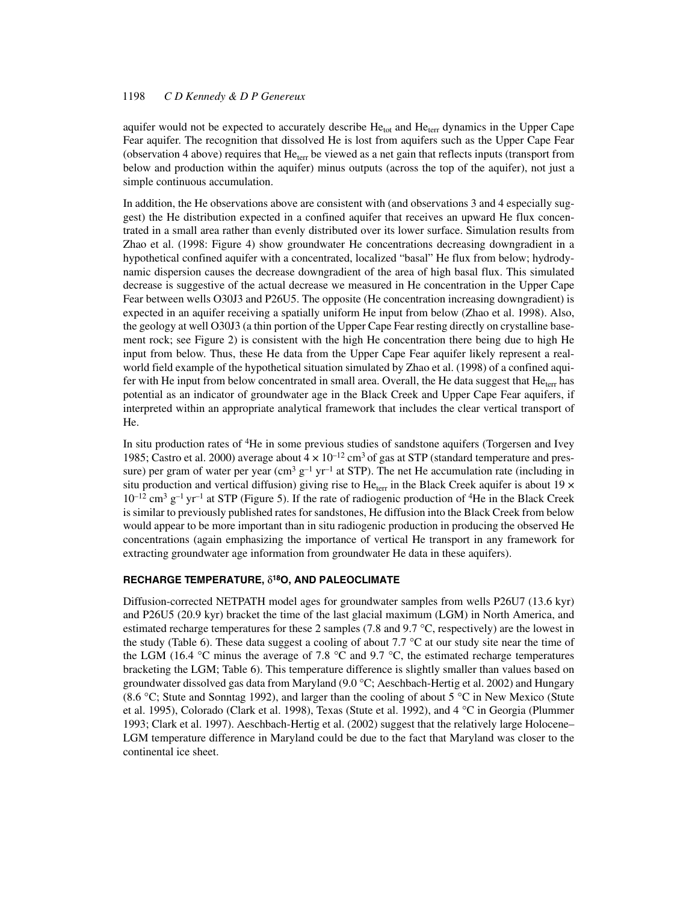aquifer would not be expected to accurately describe  $He_{tot}$  and  $He_{terr}$  dynamics in the Upper Cape Fear aquifer. The recognition that dissolved He is lost from aquifers such as the Upper Cape Fear (observation 4 above) requires that  $He_{terr}$  be viewed as a net gain that reflects inputs (transport from below and production within the aquifer) minus outputs (across the top of the aquifer), not just a simple continuous accumulation.

In addition, the He observations above are consistent with (and observations 3 and 4 especially suggest) the He distribution expected in a confined aquifer that receives an upward He flux concentrated in a small area rather than evenly distributed over its lower surface. Simulation results from Zhao et al. (1998: Figure 4) show groundwater He concentrations decreasing downgradient in a hypothetical confined aquifer with a concentrated, localized "basal" He flux from below; hydrodynamic dispersion causes the decrease downgradient of the area of high basal flux. This simulated decrease is suggestive of the actual decrease we measured in He concentration in the Upper Cape Fear between wells O30J3 and P26U5. The opposite (He concentration increasing downgradient) is expected in an aquifer receiving a spatially uniform He input from below (Zhao et al. 1998). Also, the geology at well O30J3 (a thin portion of the Upper Cape Fear resting directly on crystalline basement rock; see Figure 2) is consistent with the high He concentration there being due to high He input from below. Thus, these He data from the Upper Cape Fear aquifer likely represent a realworld field example of the hypothetical situation simulated by Zhao et al. (1998) of a confined aquifer with He input from below concentrated in small area. Overall, the He data suggest that  $He_{\text{terr}}$  has potential as an indicator of groundwater age in the Black Creek and Upper Cape Fear aquifers, if interpreted within an appropriate analytical framework that includes the clear vertical transport of He.

In situ production rates of 4He in some previous studies of sandstone aquifers (Torgersen and Ivey 1985; Castro et al. 2000) average about  $4 \times 10^{-12}$  cm<sup>3</sup> of gas at STP (standard temperature and pressure) per gram of water per year (cm<sup>3</sup> g<sup>-1</sup> yr<sup>-1</sup> at STP). The net He accumulation rate (including in situ production and vertical diffusion) giving rise to He<sub>terr</sub> in the Black Creek aquifer is about 19  $\times$  $10^{-12}$  cm<sup>3</sup> g<sup>-1</sup> yr<sup>-1</sup> at STP (Figure 5). If the rate of radiogenic production of <sup>4</sup>He in the Black Creek is similar to previously published rates for sandstones, He diffusion into the Black Creek from below would appear to be more important than in situ radiogenic production in producing the observed He concentrations (again emphasizing the importance of vertical He transport in any framework for extracting groundwater age information from groundwater He data in these aquifers).

### **RECHARGE TEMPERATURE,** δ**18O, AND PALEOCLIMATE**

Diffusion-corrected NETPATH model ages for groundwater samples from wells P26U7 (13.6 kyr) and P26U5 (20.9 kyr) bracket the time of the last glacial maximum (LGM) in North America, and estimated recharge temperatures for these 2 samples (7.8 and 9.7 °C, respectively) are the lowest in the study (Table 6). These data suggest a cooling of about 7.7 °C at our study site near the time of the LGM (16.4 °C minus the average of 7.8 °C and 9.7 °C, the estimated recharge temperatures bracketing the LGM; Table 6). This temperature difference is slightly smaller than values based on groundwater dissolved gas data from Maryland (9.0 °C; Aeschbach-Hertig et al. 2002) and Hungary (8.6 °C; Stute and Sonntag 1992), and larger than the cooling of about 5 °C in New Mexico (Stute et al. 1995), Colorado (Clark et al. 1998), Texas (Stute et al. 1992), and 4 °C in Georgia (Plummer 1993; Clark et al. 1997). Aeschbach-Hertig et al. (2002) suggest that the relatively large Holocene– LGM temperature difference in Maryland could be due to the fact that Maryland was closer to the continental ice sheet.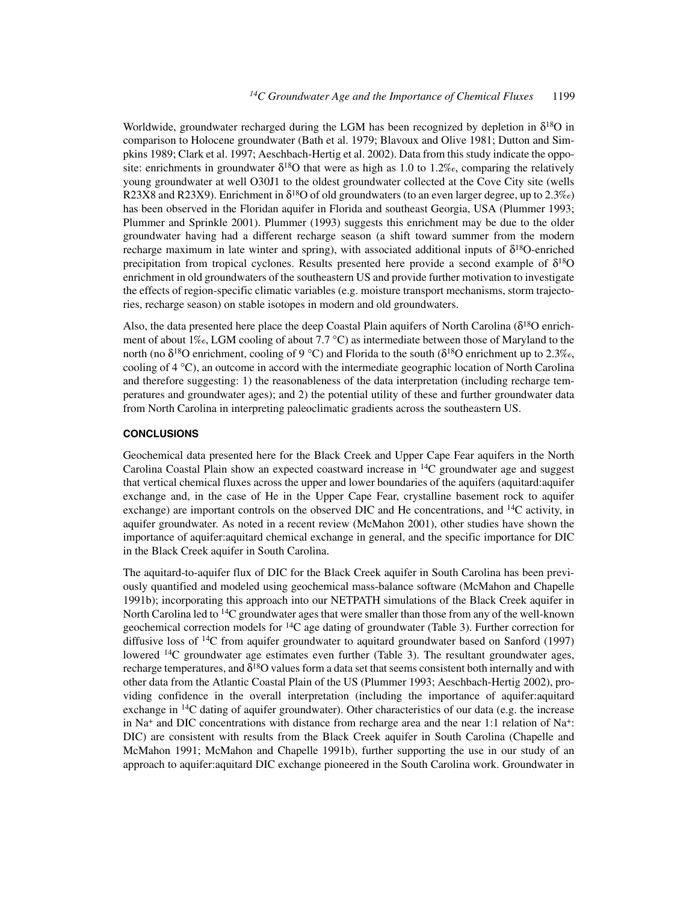Worldwide, groundwater recharged during the LGM has been recognized by depletion in  $\delta^{18}O$  in comparison to Holocene groundwater (Bath et al. 1979; Blavoux and Olive 1981; Dutton and Simpkins 1989; Clark et al. 1997; Aeschbach-Hertig et al. 2002). Data from this study indicate the opposite: enrichments in groundwater  $\delta^{18}$ O that were as high as 1.0 to 1.2‰, comparing the relatively young groundwater at well O30J1 to the oldest groundwater collected at the Cove City site (wells R23X8 and R23X9). Enrichment in  $\delta^{18}$ O of old groundwaters (to an even larger degree, up to 2.3‰) has been observed in the Floridan aquifer in Florida and southeast Georgia, USA (Plummer 1993; Plummer and Sprinkle 2001). Plummer (1993) suggests this enrichment may be due to the older groundwater having had a different recharge season (a shift toward summer from the modern recharge maximum in late winter and spring), with associated additional inputs of  $\delta^{18}$ O-enriched precipitation from tropical cyclones. Results presented here provide a second example of  $\delta^{18}O$ enrichment in old groundwaters of the southeastern US and provide further motivation to investigate the effects of region-specific climatic variables (e.g. moisture transport mechanisms, storm trajectories, recharge season) on stable isotopes in modern and old groundwaters.

Also, the data presented here place the deep Coastal Plain aquifers of North Carolina ( $\delta^{18}$ O enrichment of about 1‰, LGM cooling of about 7.7 °C) as intermediate between those of Maryland to the north (no  $\delta^{18}$ O enrichment, cooling of 9 °C) and Florida to the south ( $\delta^{18}$ O enrichment up to 2.3‰, cooling of 4 °C), an outcome in accord with the intermediate geographic location of North Carolina and therefore suggesting: 1) the reasonableness of the data interpretation (including recharge temperatures and groundwater ages); and 2) the potential utility of these and further groundwater data from North Carolina in interpreting paleoclimatic gradients across the southeastern US.

#### **CONCLUSIONS**

Geochemical data presented here for the Black Creek and Upper Cape Fear aquifers in the North Carolina Coastal Plain show an expected coastward increase in  $^{14}$ C groundwater age and suggest that vertical chemical fluxes across the upper and lower boundaries of the aquifers (aquitard:aquifer exchange and, in the case of He in the Upper Cape Fear, crystalline basement rock to aquifer exchange) are important controls on the observed DIC and He concentrations, and  $^{14}C$  activity, in aquifer groundwater. As noted in a recent review (McMahon 2001), other studies have shown the importance of aquifer:aquitard chemical exchange in general, and the specific importance for DIC in the Black Creek aquifer in South Carolina.

The aquitard-to-aquifer flux of DIC for the Black Creek aquifer in South Carolina has been previously quantified and modeled using geochemical mass-balance software (McMahon and Chapelle 1991b); incorporating this approach into our NETPATH simulations of the Black Creek aquifer in North Carolina led to <sup>14</sup>C groundwater ages that were smaller than those from any of the well-known geochemical correction models for  $14C$  age dating of groundwater (Table 3). Further correction for diffusive loss of 14C from aquifer groundwater to aquitard groundwater based on Sanford (1997) lowered  $^{14}$ C groundwater age estimates even further (Table 3). The resultant groundwater ages, recharge temperatures, and  $\delta^{18}O$  values form a data set that seems consistent both internally and with other data from the Atlantic Coastal Plain of the US (Plummer 1993; Aeschbach-Hertig 2002), providing confidence in the overall interpretation (including the importance of aquifer:aquitard exchange in 14C dating of aquifer groundwater). Other characteristics of our data (e.g. the increase in  $Na<sup>+</sup>$  and DIC concentrations with distance from recharge area and the near 1:1 relation of Na<sup>+</sup>: DIC) are consistent with results from the Black Creek aquifer in South Carolina (Chapelle and McMahon 1991; McMahon and Chapelle 1991b), further supporting the use in our study of an approach to aquifer:aquitard DIC exchange pioneered in the South Carolina work. Groundwater in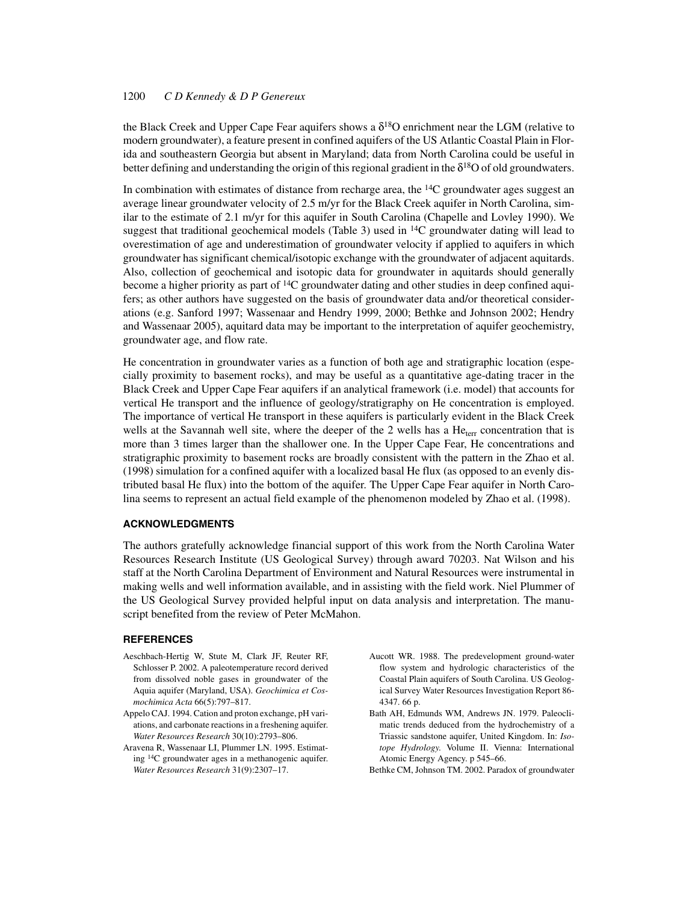the Black Creek and Upper Cape Fear aquifers shows a  $\delta^{18}$ O enrichment near the LGM (relative to modern groundwater), a feature present in confined aquifers of the US Atlantic Coastal Plain in Florida and southeastern Georgia but absent in Maryland; data from North Carolina could be useful in better defining and understanding the origin of this regional gradient in the  $\delta^{18}$ O of old groundwaters.

In combination with estimates of distance from recharge area, the  ${}^{14}C$  groundwater ages suggest an average linear groundwater velocity of 2.5 m/yr for the Black Creek aquifer in North Carolina, similar to the estimate of 2.1 m/yr for this aquifer in South Carolina (Chapelle and Lovley 1990). We suggest that traditional geochemical models (Table 3) used in  $^{14}C$  groundwater dating will lead to overestimation of age and underestimation of groundwater velocity if applied to aquifers in which groundwater has significant chemical/isotopic exchange with the groundwater of adjacent aquitards. Also, collection of geochemical and isotopic data for groundwater in aquitards should generally become a higher priority as part of  ${}^{14}C$  groundwater dating and other studies in deep confined aquifers; as other authors have suggested on the basis of groundwater data and/or theoretical considerations (e.g. Sanford 1997; Wassenaar and Hendry 1999, 2000; Bethke and Johnson 2002; Hendry and Wassenaar 2005), aquitard data may be important to the interpretation of aquifer geochemistry, groundwater age, and flow rate.

He concentration in groundwater varies as a function of both age and stratigraphic location (especially proximity to basement rocks), and may be useful as a quantitative age-dating tracer in the Black Creek and Upper Cape Fear aquifers if an analytical framework (i.e. model) that accounts for vertical He transport and the influence of geology/stratigraphy on He concentration is employed. The importance of vertical He transport in these aquifers is particularly evident in the Black Creek wells at the Savannah well site, where the deeper of the 2 wells has a  $He<sub>ter</sub>$  concentration that is more than 3 times larger than the shallower one. In the Upper Cape Fear, He concentrations and stratigraphic proximity to basement rocks are broadly consistent with the pattern in the Zhao et al. (1998) simulation for a confined aquifer with a localized basal He flux (as opposed to an evenly distributed basal He flux) into the bottom of the aquifer. The Upper Cape Fear aquifer in North Carolina seems to represent an actual field example of the phenomenon modeled by Zhao et al. (1998).

#### **ACKNOWLEDGMENTS**

The authors gratefully acknowledge financial support of this work from the North Carolina Water Resources Research Institute (US Geological Survey) through award 70203. Nat Wilson and his staff at the North Carolina Department of Environment and Natural Resources were instrumental in making wells and well information available, and in assisting with the field work. Niel Plummer of the US Geological Survey provided helpful input on data analysis and interpretation. The manuscript benefited from the review of Peter McMahon.

### **REFERENCES**

- Aeschbach-Hertig W, Stute M, Clark JF, Reuter RF, Schlosser P. 2002. A paleotemperature record derived from dissolved noble gases in groundwater of the Aquia aquifer (Maryland, USA). *Geochimica et Cosmochimica Acta* 66(5):797–817.
- Appelo CAJ. 1994. Cation and proton exchange, pH variations, and carbonate reactions in a freshening aquifer. *Water Resources Research* 30(10):2793–806.
- Aravena R, Wassenaar LI, Plummer LN. 1995. Estimating 14C groundwater ages in a methanogenic aquifer. *Water Resources Research* 31(9):2307–17.
- Aucott WR. 1988. The predevelopment ground-water flow system and hydrologic characteristics of the Coastal Plain aquifers of South Carolina. US Geological Survey Water Resources Investigation Report 86- 4347. 66 p.
- Bath AH, Edmunds WM, Andrews JN. 1979. Paleoclimatic trends deduced from the hydrochemistry of a Triassic sandstone aquifer, United Kingdom. In: *Isotope Hydrology*. Volume II. Vienna: International Atomic Energy Agency. p 545–66.
- Bethke CM, Johnson TM. 2002. Paradox of groundwater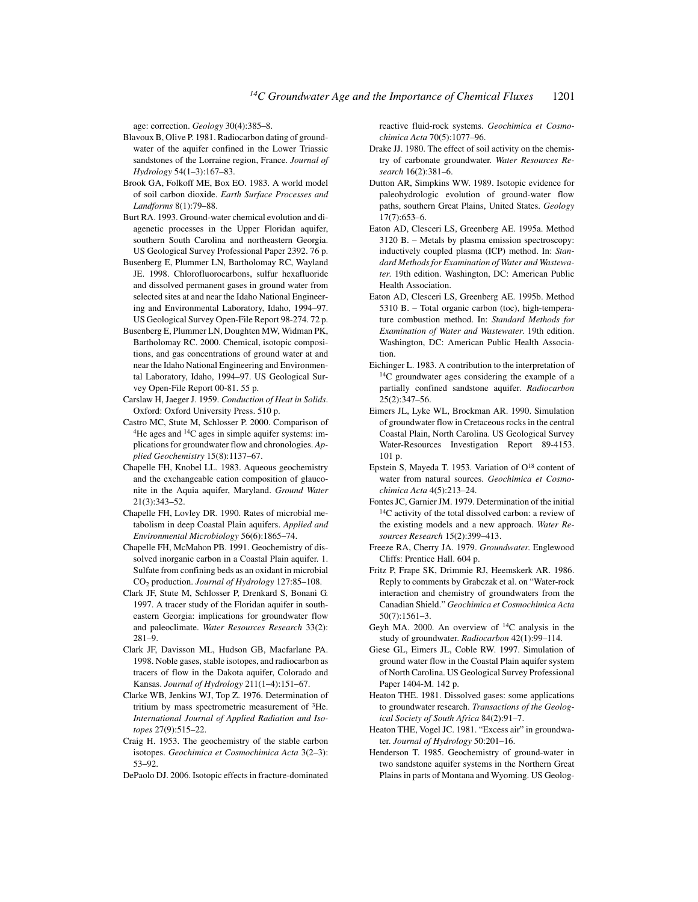age: correction. *Geology* 30(4):385–8.

- Blavoux B, Olive P. 1981. Radiocarbon dating of groundwater of the aquifer confined in the Lower Triassic sandstones of the Lorraine region, France. *Journal of Hydrology* 54(1–3):167–83.
- Brook GA, Folkoff ME, Box EO. 1983. A world model of soil carbon dioxide. *Earth Surface Processes and Landforms* 8(1):79–88.
- Burt RA. 1993. Ground-water chemical evolution and diagenetic processes in the Upper Floridan aquifer, southern South Carolina and northeastern Georgia. US Geological Survey Professional Paper 2392. 76 p.
- Busenberg E, Plummer LN, Bartholomay RC, Wayland JE. 1998. Chlorofluorocarbons, sulfur hexafluoride and dissolved permanent gases in ground water from selected sites at and near the Idaho National Engineering and Environmental Laboratory, Idaho, 1994–97. US Geological Survey Open-File Report 98-274. 72 p.
- Busenberg E, Plummer LN, Doughten MW, Widman PK, Bartholomay RC. 2000. Chemical, isotopic compositions, and gas concentrations of ground water at and near the Idaho National Engineering and Environmental Laboratory, Idaho, 1994–97. US Geological Survey Open-File Report 00-81. 55 p.
- Carslaw H, Jaeger J. 1959. *Conduction of Heat in Solids*. Oxford: Oxford University Press. 510 p.
- Castro MC, Stute M, Schlosser P. 2000. Comparison of <sup>4</sup>He ages and <sup>14</sup>C ages in simple aquifer systems: implications for groundwater flow and chronologies. *Applied Geochemistry* 15(8):1137–67.
- Chapelle FH, Knobel LL. 1983. Aqueous geochemistry and the exchangeable cation composition of glauconite in the Aquia aquifer, Maryland. *Ground Water* 21(3):343–52.
- Chapelle FH, Lovley DR. 1990. Rates of microbial metabolism in deep Coastal Plain aquifers. *Applied and Environmental Microbiology* 56(6):1865–74.
- Chapelle FH, McMahon PB. 1991. Geochemistry of dissolved inorganic carbon in a Coastal Plain aquifer. 1. Sulfate from confining beds as an oxidant in microbial CO2 production. *Journal of Hydrology* 127:85–108.
- Clark JF, Stute M, Schlosser P, Drenkard S, Bonani G. 1997. A tracer study of the Floridan aquifer in southeastern Georgia: implications for groundwater flow and paleoclimate. *Water Resources Research* 33(2): 281–9.
- Clark JF, Davisson ML, Hudson GB, Macfarlane PA. 1998. Noble gases, stable isotopes, and radiocarbon as tracers of flow in the Dakota aquifer, Colorado and Kansas. *Journal of Hydrology* 211(1–4):151–67.
- Clarke WB, Jenkins WJ, Top Z. 1976. Determination of tritium by mass spectrometric measurement of 3He. *International Journal of Applied Radiation and Isotopes* 27(9):515–22.
- Craig H. 1953. The geochemistry of the stable carbon isotopes. *Geochimica et Cosmochimica Acta* 3(2–3): 53–92.
- DePaolo DJ. 2006. Isotopic effects in fracture-dominated

reactive fluid-rock systems. *Geochimica et Cosmochimica Acta* 70(5):1077–96.

- Drake JJ. 1980. The effect of soil activity on the chemistry of carbonate groundwater. *Water Resources Research* 16(2):381–6.
- Dutton AR, Simpkins WW. 1989. Isotopic evidence for paleohydrologic evolution of ground-water flow paths, southern Great Plains, United States. *Geology*  $17(7)$ :653–6.
- Eaton AD, Clesceri LS, Greenberg AE. 1995a. Method 3120 B. – Metals by plasma emission spectroscopy: inductively coupled plasma (ICP) method. In: *Standard Methods for Examination of Water and Wastewater*. 19th edition. Washington, DC: American Public Health Association.
- Eaton AD, Clesceri LS, Greenberg AE. 1995b. Method 5310 B. – Total organic carbon (toc), high-temperature combustion method. In: *Standard Methods for Examination of Water and Wastewater*. 19th edition. Washington, DC: American Public Health Association.
- Eichinger L. 1983. A contribution to the interpretation of <sup>14</sup>C groundwater ages considering the example of a partially confined sandstone aquifer. *Radiocarbon* 25(2):347–56.
- Eimers JL, Lyke WL, Brockman AR. 1990. Simulation of groundwater flow in Cretaceous rocks in the central Coastal Plain, North Carolina. US Geological Survey Water-Resources Investigation Report 89-4153. 101 p.
- Epstein S, Mayeda T. 1953. Variation of O18 content of water from natural sources. *Geochimica et Cosmochimica Acta* 4(5):213–24.
- Fontes JC, Garnier JM. 1979. Determination of the initial 14C activity of the total dissolved carbon: a review of the existing models and a new approach. *Water Resources Research* 15(2):399–413.
- Freeze RA, Cherry JA. 1979. *Groundwater*. Englewood Cliffs: Prentice Hall. 604 p.
- Fritz P, Frape SK, Drimmie RJ, Heemskerk AR. 1986. Reply to comments by Grabczak et al. on "Water-rock interaction and chemistry of groundwaters from the Canadian Shield." *Geochimica et Cosmochimica Acta* 50(7):1561–3.
- Geyh MA. 2000. An overview of  $^{14}C$  analysis in the study of groundwater. *Radiocarbon* 42(1):99–114.
- Giese GL, Eimers JL, Coble RW. 1997. Simulation of ground water flow in the Coastal Plain aquifer system of North Carolina. US Geological Survey Professional Paper 1404-M. 142 p.
- Heaton THE. 1981. Dissolved gases: some applications to groundwater research. *Transactions of the Geological Society of South Africa* 84(2):91–7.
- Heaton THE, Vogel JC. 1981. "Excess air" in groundwater. *Journal of Hydrology* 50:201–16.
- Henderson T. 1985. Geochemistry of ground-water in two sandstone aquifer systems in the Northern Great Plains in parts of Montana and Wyoming. US Geolog-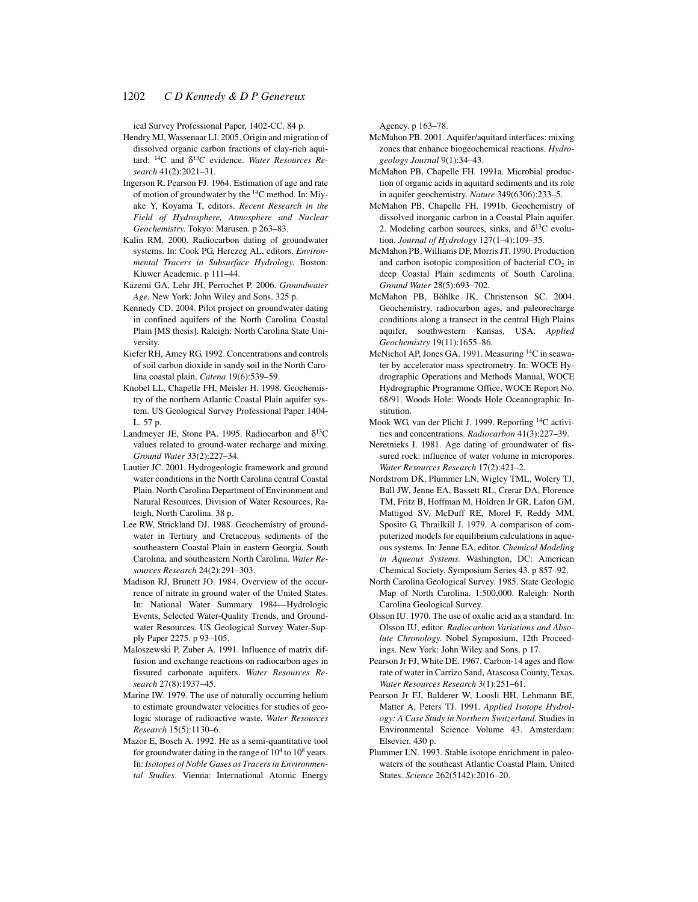ical Survey Professional Paper, 1402-CC. 84 p.

- Hendry MJ, Wassenaar LI. 2005. Origin and migration of dissolved organic carbon fractions of clay-rich aquitard: 14C and δ13C evidence. *Water Resources Research* 41(2):2021–31.
- Ingerson R, Pearson FJ. 1964. Estimation of age and rate of motion of groundwater by the 14C method. In: Miyake Y, Koyama T, editors. *Recent Research in the Field of Hydrosphere, Atmosphere and Nuclear Geochemistry*. Tokyo: Marusen. p 263–83.
- Kalin RM. 2000. Radiocarbon dating of groundwater systems. In: Cook PG, Herczeg AL, editors. *Environmental Tracers in Subsurface Hydrology*. Boston: Kluwer Academic. p 111–44.
- Kazemi GA, Lehr JH, Perrochet P. 2006. *Groundwater Age*. New York: John Wiley and Sons. 325 p.
- Kennedy CD. 2004. Pilot project on groundwater dating in confined aquifers of the North Carolina Coastal Plain [MS thesis]. Raleigh: North Carolina State University.
- Kiefer RH, Amey RG. 1992. Concentrations and controls of soil carbon dioxide in sandy soil in the North Carolina coastal plain. *Catena* 19(6):539–59.
- Knobel LL, Chapelle FH, Meisler H. 1998. Geochemistry of the northern Atlantic Coastal Plain aquifer system. US Geological Survey Professional Paper 1404- L. 57 p.
- Landmeyer JE, Stone PA. 1995. Radiocarbon and  $\delta^{13}C$ values related to ground-water recharge and mixing. *Ground Water* 33(2):227–34.
- Lautier JC. 2001. Hydrogeologic framework and ground water conditions in the North Carolina central Coastal Plain. North Carolina Department of Environment and Natural Resources, Division of Water Resources, Raleigh, North Carolina. 38 p.
- Lee RW, Strickland DJ. 1988. Geochemistry of groundwater in Tertiary and Cretaceous sediments of the southeastern Coastal Plain in eastern Georgia, South Carolina, and southeastern North Carolina. *Water Resources Research* 24(2):291–303.
- Madison RJ, Brunett JO. 1984. Overview of the occurrence of nitrate in ground water of the United States. In: National Water Summary 1984—Hydrologic Events, Selected Water-Quality Trends, and Groundwater Resources. US Geological Survey Water-Supply Paper 2275. p 93–105.
- Maloszewski P, Zuber A. 1991. Influence of matrix diffusion and exchange reactions on radiocarbon ages in fissured carbonate aquifers. *Water Resources Research* 27(8):1937–45.
- Marine IW. 1979. The use of naturally occurring helium to estimate groundwater velocities for studies of geologic storage of radioactive waste. *Water Resources Research* 15(5):1130–6.
- Mazor E, Bosch A. 1992. He as a semi-quantitative tool for groundwater dating in the range of  $10^4$  to  $10^8$  years. In: *Isotopes of Noble Gases as Tracers in Environmental Studies*. Vienna: International Atomic Energy

Agency. p 163–78.

- McMahon PB. 2001. Aquifer/aquitard interfaces: mixing zones that enhance biogeochemical reactions. *Hydrogeology Journal* 9(1):34–43.
- McMahon PB, Chapelle FH. 1991a. Microbial production of organic acids in aquitard sediments and its role in aquifer geochemistry. *Nature* 349(6306):233–5.
- McMahon PB, Chapelle FH. 1991b. Geochemistry of dissolved inorganic carbon in a Coastal Plain aquifer. 2. Modeling carbon sources, sinks, and  $\delta^{13}$ C evolution. *Journal of Hydrology* 127(1–4):109–35.
- McMahon PB, Williams DF, Morris JT. 1990. Production and carbon isotopic composition of bacterial  $CO<sub>2</sub>$  in deep Coastal Plain sediments of South Carolina. *Ground Water* 28(5):693–702.
- McMahon PB, Böhlke JK, Christenson SC. 2004. Geochemistry, radiocarbon ages, and paleorecharge conditions along a transect in the central High Plains aquifer, southwestern Kansas, USA. *Applied Geochemistry* 19(11):1655–86.
- McNichol AP, Jones GA. 1991. Measuring <sup>14</sup>C in seawater by accelerator mass spectrometry. In: WOCE Hydrographic Operations and Methods Manual, WOCE Hydrographic Programme Office, WOCE Report No. 68/91. Woods Hole: Woods Hole Oceanographic Institution.
- Mook WG, van der Plicht J. 1999. Reporting 14C activities and concentrations. *Radiocarbon* 41(3):227–39.
- Neretnieks I. 1981. Age dating of groundwater of fissured rock: influence of water volume in micropores. *Water Resources Research* 17(2):421–2.
- Nordstrom DK, Plummer LN, Wigley TML, Wolery TJ, Ball JW, Jenne EA, Bassett RL, Crerar DA, Florence TM, Fritz B, Hoffman M, Holdren Jr GR, Lafon GM, Mattigod SV, McDuff RE, Morel F, Reddy MM, Sposito G, Thrailkill J. 1979. A comparison of computerized models for equilibrium calculations in aqueous systems. In: Jenne EA, editor. *Chemical Modeling in Aqueous Systems.* Washington, DC: American Chemical Society. Symposium Series 43. p 857–92.
- North Carolina Geological Survey. 1985. State Geologic Map of North Carolina. 1:500,000. Raleigh: North Carolina Geological Survey.
- Olsson IU. 1970. The use of oxalic acid as a standard. In: Olsson IU, editor. *Radiocarbon Variations and Absolute Chronology*. Nobel Symposium, 12th Proceedings. New York: John Wiley and Sons. p 17.
- Pearson Jr FJ, White DE. 1967. Carbon-14 ages and flow rate of water in Carrizo Sand, Atascosa County, Texas. *Water Resources Research* 3(1):251–61.
- Pearson Jr FJ, Balderer W, Loosli HH, Lehmann BE, Matter A, Peters TJ. 1991. *Applied Isotope Hydrology: A Case Study in Northern Switzerland*. Studies in Environmental Science Volume 43. Amsterdam: Elsevier. 430 p.
- Plummer LN. 1993. Stable isotope enrichment in paleowaters of the southeast Atlantic Coastal Plain, United States. *Science* 262(5142):2016–20.